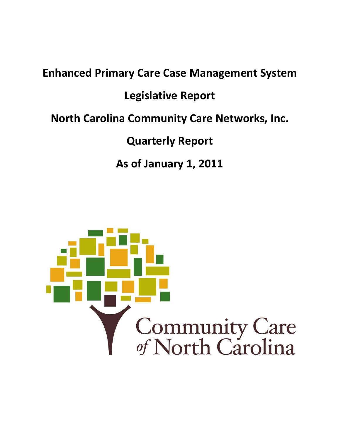# **Enhanced Primary Care Case Management System Legislative Report North Carolina Community Care Networks, Inc. Quarterly Report As of January 1, 2011**

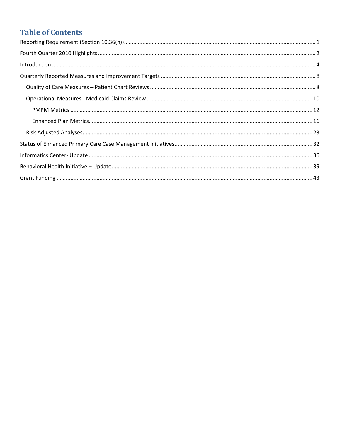# **Table of Contents**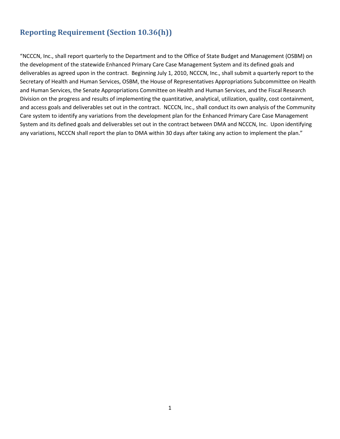# <span id="page-2-0"></span>**Reporting Requirement (Section 10.36(h))**

"NCCCN, Inc., shall report quarterly to the Department and to the Office of State Budget and Management (OSBM) on the development of the statewide Enhanced Primary Care Case Management System and its defined goals and deliverables as agreed upon in the contract. Beginning July 1, 2010, NCCCN, Inc., shall submit a quarterly report to the Secretary of Health and Human Services, OSBM, the House of Representatives Appropriations Subcommittee on Health and Human Services, the Senate Appropriations Committee on Health and Human Services, and the Fiscal Research Division on the progress and results of implementing the quantitative, analytical, utilization, quality, cost containment, and access goals and deliverables set out in the contract. NCCCN, Inc., shall conduct its own analysis of the Community Care system to identify any variations from the development plan for the Enhanced Primary Care Case Management System and its defined goals and deliverables set out in the contract between DMA and NCCCN, Inc. Upon identifying any variations, NCCCN shall report the plan to DMA within 30 days after taking any action to implement the plan."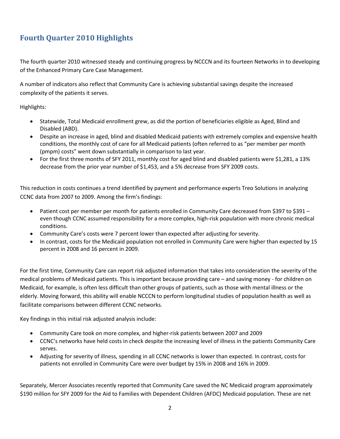# <span id="page-3-0"></span>**Fourth Quarter 2010 Highlights**

The fourth quarter 2010 witnessed steady and continuing progress by NCCCN and its fourteen Networks in to developing of the Enhanced Primary Care Case Management.

A number of indicators also reflect that Community Care is achieving substantial savings despite the increased complexity of the patients it serves.

Highlights:

- Statewide, Total Medicaid enrollment grew, as did the portion of beneficiaries eligible as Aged, Blind and Disabled (ABD).
- Despite an increase in aged, blind and disabled Medicaid patients with extremely complex and expensive health conditions, the monthly cost of care for all Medicaid patients (often referred to as "per member per month (pmpm) costs" went down substantially in comparison to last year.
- For the first three months of SFY 2011, monthly cost for aged blind and disabled patients were \$1,281, a 13% decrease from the prior year number of \$1,453, and a 5% decrease from SFY 2009 costs.

This reduction in costs continues a trend identified by payment and performance experts Treo Solutions in analyzing CCNC data from 2007 to 2009. Among the firm's findings:

- Patient cost per member per month for patients enrolled in Community Care decreased from \$397 to \$391 even though CCNC assumed responsibility for a more complex, high-risk population with more chronic medical conditions.
- Community Care's costs were 7 percent lower than expected after adjusting for severity.
- In contrast, costs for the Medicaid population not enrolled in Community Care were higher than expected by 15 percent in 2008 and 16 percent in 2009.

For the first time, Community Care can report risk adjusted information that takes into consideration the severity of the medical problems of Medicaid patients. This is important because providing care – and saving money - for children on Medicaid, for example, is often less difficult than other groups of patients, such as those with mental illness or the elderly. Moving forward, this ability will enable NCCCN to perform longitudinal studies of population health as well as facilitate comparisons between different CCNC networks.

Key findings in this initial risk adjusted analysis include:

- Community Care took on more complex, and higher-risk patients between 2007 and 2009
- CCNC's networks have held costs in check despite the increasing level of illness in the patients Community Care serves.
- Adjusting for severity of illness, spending in all CCNC networks is lower than expected. In contrast, costs for patients not enrolled in Community Care were over budget by 15% in 2008 and 16% in 2009.

Separately, Mercer Associates recently reported that Community Care saved the NC Medicaid program approximately \$190 million for SFY 2009 for the Aid to Families with Dependent Children (AFDC) Medicaid population. These are net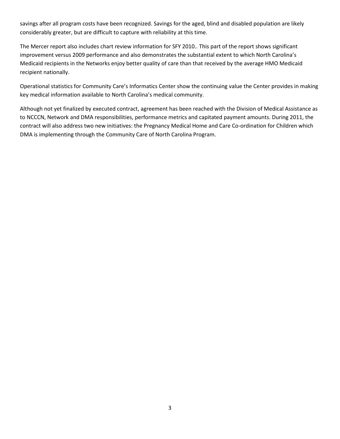savings after all program costs have been recognized. Savings for the aged, blind and disabled population are likely considerably greater, but are difficult to capture with reliability at this time.

The Mercer report also includes chart review information for SFY 2010.. This part of the report shows significant improvement versus 2009 performance and also demonstrates the substantial extent to which North Carolina's Medicaid recipients in the Networks enjoy better quality of care than that received by the average HMO Medicaid recipient nationally.

Operational statistics for Community Care's Informatics Center show the continuing value the Center provides in making key medical information available to North Carolina's medical community.

Although not yet finalized by executed contract, agreement has been reached with the Division of Medical Assistance as to NCCCN, Network and DMA responsibilities, performance metrics and capitated payment amounts. During 2011, the contract will also address two new initiatives: the Pregnancy Medical Home and Care Co-ordination for Children which DMA is implementing through the Community Care of North Carolina Program.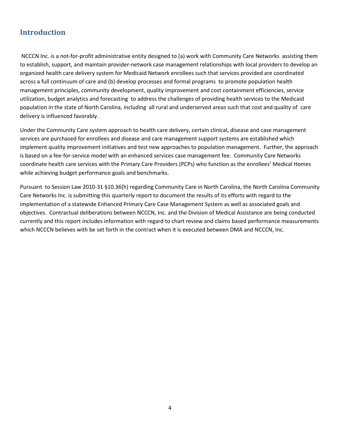# <span id="page-5-0"></span>**Introduction**

NCCCN Inc. is a not-for-profit administrative entity designed to (a) work with Community Care Networks assisting them to establish, support, and maintain provider-network case management relationships with local providers to develop an organized health care delivery system for Medicaid Network enrollees such that services provided are coordinated across a full continuum of care and (b) develop processes and formal programs to promote population health management principles, community development, quality improvement and cost containment efficiencies, service utilization, budget analytics and forecasting to address the challenges of providing health services to the Medicaid population in the state of North Carolina, including all rural and underserved areas such that cost and quality of care delivery is influenced favorably.

Under the Community Care system approach to health care delivery, certain clinical, disease and case management services are purchased for enrollees and disease and care management support systems are established which implement quality improvement initiatives and test new approaches to population management. Further, the approach is based on a fee-for-service model with an enhanced services case management fee. Community Care Networks coordinate health care services with the Primary Care Providers (PCPs) who function as the enrollees' Medical Homes while achieving budget performance goals and benchmarks.

Pursuant to Session Law 2010-31 §10.36(h) regarding Community Care in North Carolina, the North Carolina Community Care Networks Inc. is submitting this quarterly report to document the results of its efforts with regard to the implementation of a statewide Enhanced Primary Care Case Management System as well as associated goals and objectives. Contractual deliberations between NCCCN, Inc. and the Division of Medical Assistance are being conducted currently and this report includes information with regard to chart review and claims based performance measurements which NCCCN believes with be set forth in the contract when it is executed between DMA and NCCCN, Inc.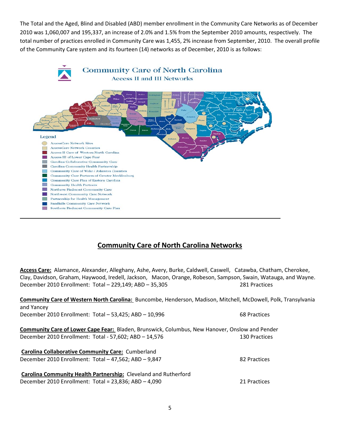The Total and the Aged, Blind and Disabled (ABD) member enrollment in the Community Care Networks as of December 2010 was 1,060,007 and 195,337, an increase of 2.0% and 1.5% from the September 2010 amounts, respectively. The total number of practices enrolled in Community Care was 1,455, 2% increase from September, 2010. The overall profile of the Community Care system and its fourteen (14) networks as of December, 2010 is as follows:



# **Community Care of North Carolina Networks**

**Access Care:** Alamance, Alexander, Alleghany, Ashe, Avery, Burke, Caldwell, Caswell, Catawba, Chatham, Cherokee, December 2010 Enrollment: Total – 229,149; ABD – 35,305 281 Practices Clay, Davidson, Graham, Haywood, Iredell, Jackson, Macon, Orange, Robeson, Sampson, Swain, Watauga, and Wayne.

| Community Care of Western North Carolina: Buncombe, Henderson, Madison, Mitchell, McDowell, Polk, Transylvania |               |
|----------------------------------------------------------------------------------------------------------------|---------------|
| and Yancey                                                                                                     |               |
| December 2010 Enrollment: Total - 53,425; ABD - 10,996                                                         | 68 Practices  |
| <b>Community Care of Lower Cape Fear:</b> Bladen, Brunswick, Columbus, New Hanover, Onslow and Pender          |               |
| December 2010 Enrollment: Total - 57,602; ABD - 14,576                                                         | 130 Practices |
| <b>Carolina Collaborative Community Care: Cumberland</b>                                                       |               |
| December 2010 Enrollment: Total - 47,562; ABD - 9,847                                                          | 82 Practices  |
| Carolina Community Health Partnership: Cleveland and Rutherford                                                |               |
| December 2010 Enrollment: Total = $23,836$ ; ABD $- 4,090$                                                     | 21 Practices  |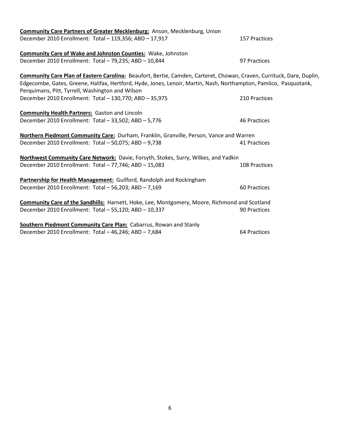| <b>Community Care Partners of Greater Mecklenburg:</b> Anson, Mecklenburg, Union                                      |               |
|-----------------------------------------------------------------------------------------------------------------------|---------------|
| December 2010 Enrollment: Total - 119,356; ABD - 17,917                                                               | 157 Practices |
| <b>Community Care of Wake and Johnston Counties: Wake, Johnston</b>                                                   |               |
| December 2010 Enrollment: Total - 79,235; ABD - 10,844                                                                | 97 Practices  |
| Community Care Plan of Eastern Carolina: Beaufort, Bertie, Camden, Carteret, Chowan, Craven, Currituck, Dare, Duplin, |               |
| Edgecombe, Gates, Greene, Halifax, Hertford, Hyde, Jones, Lenoir, Martin, Nash, Northampton, Pamlico, Pasquotank,     |               |
| Perquimans, Pitt, Tyrrell, Washington and Wilson                                                                      |               |
| December 2010 Enrollment: Total - 130,770; ABD - 35,975                                                               | 210 Practices |
| <b>Community Health Partners:</b> Gaston and Lincoln                                                                  |               |
| December 2010 Enrollment: Total - 33,502; ABD - 5,776                                                                 | 46 Practices  |
| Northern Piedmont Community Care: Durham, Franklin, Granville, Person, Vance and Warren                               |               |
| December 2010 Enrollment: Total - 50,075; ABD - 9,738                                                                 | 41 Practices  |
| Northwest Community Care Network: Davie, Forsyth, Stokes, Surry, Wilkes, and Yadkin                                   |               |
| December 2010 Enrollment: Total - 77,746; ABD - 15,083                                                                | 108 Practices |
| Partnership for Health Management: Guilford, Randolph and Rockingham                                                  |               |
| December 2010 Enrollment: Total - 56,203; ABD - 7,169                                                                 | 60 Practices  |
| <b>Community Care of the Sandhills:</b> Harnett, Hoke, Lee, Montgomery, Moore, Richmond and Scotland                  |               |
| December 2010 Enrollment: Total - 55,120; ABD - 10,337                                                                | 90 Practices  |
| Southern Piedmont Community Care Plan: Cabarrus, Rowan and Stanly                                                     |               |
| December 2010 Enrollment: Total - 46,246; ABD - 7,684                                                                 | 64 Practices  |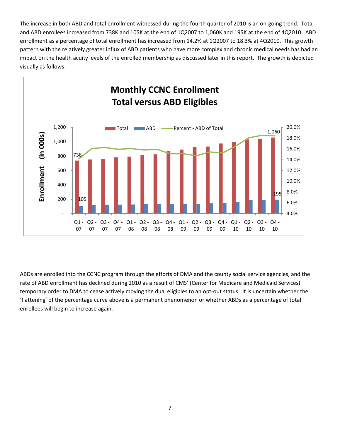The increase in both ABD and total enrollment witnessed during the fourth quarter of 2010 is an on-going trend. Total and ABD enrollees increased from 738K and 105K at the end of 1Q2007 to 1,060K and 195K at the end of 4Q2010. ABD enrollment as a percentage of total enrollment has increased from 14.2% at 1Q2007 to 18.3% at 4Q2010. This growth pattern with the relatively greater influx of ABD patients who have more complex and chronic medical needs has had an impact on the health acuity levels of the enrolled membership as discussed later in this report. The growth is depicted visually as follows:



ABDs are enrolled into the CCNC program through the efforts of DMA and the county social service agencies, and the rate of ABD enrollment has declined during 2010 as a result of CMS' (Center for Medicare and Medicaid Services) temporary order to DMA to cease actively moving the dual eligibles to an opt-out status. It is uncertain whether the 'flattening' of the percentage curve above is a permanent phenomenon or whether ABDs as a percentage of total enrollees will begin to increase again.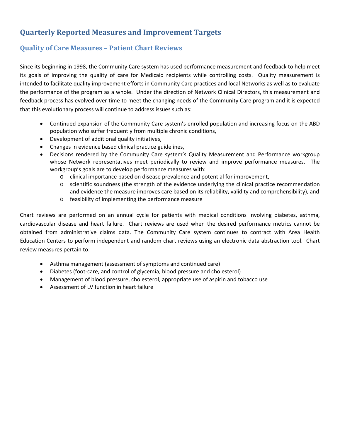# <span id="page-9-0"></span>**Quarterly Reported Measures and Improvement Targets**

# <span id="page-9-1"></span>**Quality of Care Measures – Patient Chart Reviews**

Since its beginning in 1998, the Community Care system has used performance measurement and feedback to help meet its goals of improving the quality of care for Medicaid recipients while controlling costs. Quality measurement is intended to facilitate quality improvement efforts in Community Care practices and local Networks as well as to evaluate the performance of the program as a whole. Under the direction of Network Clinical Directors, this measurement and feedback process has evolved over time to meet the changing needs of the Community Care program and it is expected that this evolutionary process will continue to address issues such as:

- Continued expansion of the Community Care system's enrolled population and increasing focus on the ABD population who suffer frequently from multiple chronic conditions,
- Development of additional quality initiatives,
- Changes in evidence based clinical practice guidelines,
- Decisions rendered by the Community Care system's Quality Measurement and Performance workgroup whose Network representatives meet periodically to review and improve performance measures. The workgroup's goals are to develop performance measures with:
	- o clinical importance based on disease prevalence and potential for improvement,
	- o scientific soundness (the strength of the evidence underlying the clinical practice recommendation and evidence the measure improves care based on its reliability, validity and comprehensibility), and
	- o feasibility of implementing the performance measure

Chart reviews are performed on an annual cycle for patients with medical conditions involving diabetes, asthma, cardiovascular disease and heart failure. Chart reviews are used when the desired performance metrics cannot be obtained from administrative claims data. The Community Care system continues to contract with Area Health Education Centers to perform independent and random chart reviews using an electronic data abstraction tool. Chart review measures pertain to:

- Asthma management (assessment of symptoms and continued care)
- Diabetes (foot-care, and control of glycemia, blood pressure and cholesterol)
- Management of blood pressure, cholesterol, appropriate use of aspirin and tobacco use
- Assessment of LV function in heart failure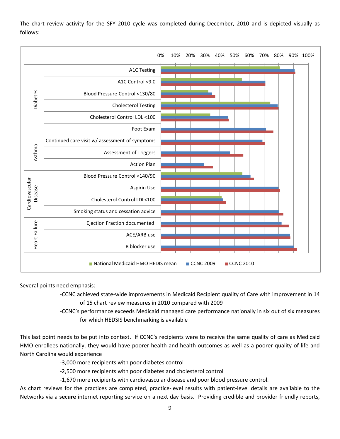The chart review activity for the SFY 2010 cycle was completed during December, 2010 and is depicted visually as follows:



Several points need emphasis:

-CCNC achieved state-wide improvements in Medicaid Recipient quality of Care with improvement in 14 of 15 chart review measures in 2010 compared with 2009

-CCNC's performance exceeds Medicaid managed care performance nationally in six out of six measures for which HEDSIS benchmarking is available

This last point needs to be put into context. If CCNC's recipients were to receive the same quality of care as Medicaid HMO enrollees nationally, they would have poorer health and health outcomes as well as a poorer quality of life and North Carolina would experience

-3,000 more recipients with poor diabetes control

-2,500 more recipients with poor diabetes and cholesterol control

-1,670 more recipients with cardiovascular disease and poor blood pressure control.

As chart reviews for the practices are completed, practice-level results with patient-level details are available to the Networks via a **secure** internet reporting service on a next day basis. Providing credible and provider friendly reports,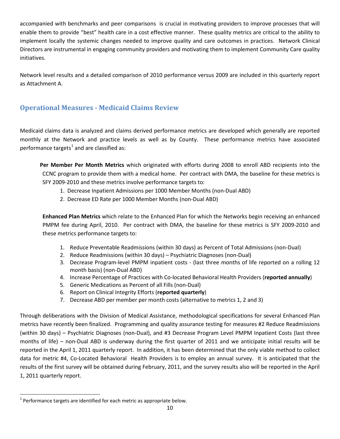accompanied with benchmarks and peer comparisons is crucial in motivating providers to improve processes that will enable them to provide "best" health care in a cost effective manner. These quality metrics are critical to the ability to implement locally the systemic changes needed to improve quality and care outcomes in practices. Network Clinical Directors are instrumental in engaging community providers and motivating them to implement Community Care quality initiatives.

Network level results and a detailed comparison of 2010 performance versus 2009 are included in this quarterly report as Attachment A.

# <span id="page-11-0"></span>**Operational Measures - Medicaid Claims Review**

Medicaid claims data is analyzed and claims derived performance metrics are developed which generally are reported monthly at the Network and practice levels as well as by County. These performance metrics have associated performance targets<sup>[1](#page-11-1)</sup> and are classified as:

**Per Member Per Month Metrics** which originated with efforts during 2008 to enroll ABD recipients into the CCNC program to provide them with a medical home. Per contract with DMA, the baseline for these metrics is SFY 2009-2010 and these metrics involve performance targets to:

- 1. Decrease Inpatient Admissions per 1000 Member Months (non-Dual ABD)
- 2. Decrease ED Rate per 1000 Member Months (non-Dual ABD)

**Enhanced Plan Metrics** which relate to the Enhanced Plan for which the Networks begin receiving an enhanced PMPM fee during April, 2010. Per contract with DMA, the baseline for these metrics is SFY 2009-2010 and these metrics performance targets to:

- 1. Reduce Preventable Readmissions (within 30 days) as Percent of Total Admissions (non-Dual)
- 2. Reduce Readmissions (within 30 days) Psychiatric Diagnoses (non-Dual)
- 3. Decrease Program-level PMPM inpatient costs (last three months of life reported on a rolling 12 month basis) (non-Dual ABD)
- 4. Increase Percentage of Practices with Co-located Behavioral Health Providers (**reported annually**)
- 5. Generic Medications as Percent of all Fills (non-Dual)
- 6. Report on Clinical Integrity Efforts (**reported quarterly**)
- 7. Decrease ABD per member per month costs (alternative to metrics 1, 2 and 3)

Through deliberations with the Division of Medical Assistance, methodological specifications for several Enhanced Plan metrics have recently been finalized. Programming and quality assurance testing for measures #2 Reduce Readmissions (within 30 days) – Psychiatric Diagnoses (non-Dual), and #3 Decrease Program Level PMPM Inpatient Costs (last three months of life) – non-Dual ABD is underway during the first quarter of 2011 and we anticipate initial results will be reported in the April 1, 2011 quarterly report. In addition, it has been determined that the only viable method to collect data for metric #4, Co-Located Behavioral Health Providers is to employ an annual survey. It is anticipated that the results of the first survey will be obtained during February, 2011, and the survey results also will be reported in the April 1, 2011 quarterly report.

<span id="page-11-1"></span> $1$  Performance targets are identified for each metric as appropriate below.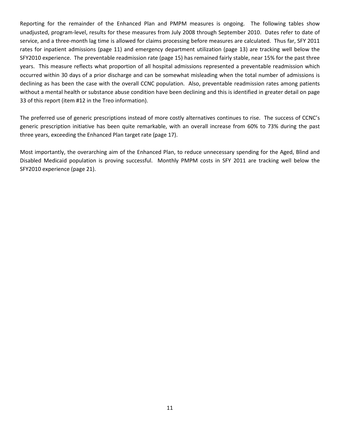Reporting for the remainder of the Enhanced Plan and PMPM measures is ongoing. The following tables show unadjusted, program-level, results for these measures from July 2008 through September 2010. Dates refer to date of service, and a three-month lag time is allowed for claims processing before measures are calculated. Thus far, SFY 2011 rates for inpatient admissions (page 11) and emergency department utilization (page 13) are tracking well below the SFY2010 experience. The preventable readmission rate (page 15) has remained fairly stable, near 15% for the past three years. This measure reflects what proportion of all hospital admissions represented a preventable readmission which occurred within 30 days of a prior discharge and can be somewhat misleading when the total number of admissions is declining as has been the case with the overall CCNC population. Also, preventable readmission rates among patients without a mental health or substance abuse condition have been declining and this is identified in greater detail on page 33 of this report (item #12 in the Treo information).

The preferred use of generic prescriptions instead of more costly alternatives continues to rise. The success of CCNC's generic prescription initiative has been quite remarkable, with an overall increase from 60% to 73% during the past three years, exceeding the Enhanced Plan target rate (page 17).

Most importantly, the overarching aim of the Enhanced Plan, to reduce unnecessary spending for the Aged, Blind and Disabled Medicaid population is proving successful. Monthly PMPM costs in SFY 2011 are tracking well below the SFY2010 experience (page 21).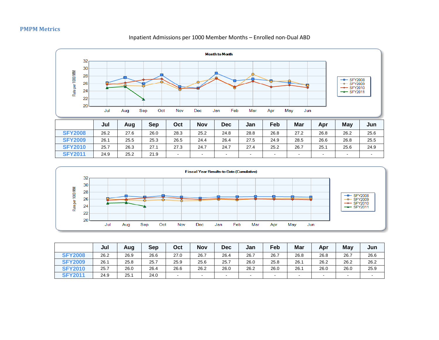#### **PMPM Metrics**

#### **Month to Month** 32 30 Rate per 1000 MM 28 o -D- SFY2008 26  $-$  SFY2009  $-$  SFY2010 24  $\rightarrow$  SFY2011 22 20 Jul Sep Oct Nov Dec Feb May Aug Jan Mar Apr Jun **Jul Aug Sep Oct Nov Dec Jan Feb Mar Apr May Jun SFY2008** 26.2 27.6 26.0 28.3 25.2 24.8 28.8 26.8 27.2 26.8 26.2 25.6 **SFY2009** 26.1 25.5 25.3 26.5 24.4 26.4 27.5 24.9 28.5 26.6 26.8 25.5 **SFY2010** 25.7 26.3 27.1 27.3 24.7 24.7 27.4 25.2 26.7 25.1 25.6 24.9 **SFY2011** 24.9 25.2 21.9 - - - - - - - - -

<span id="page-13-0"></span>

|                | Jul  | Aug  | Sep  | Oct  | <b>Nov</b> | <b>Dec</b> | Jan       | Feb  | Mar    | Apr  | Mav  | Jun  |
|----------------|------|------|------|------|------------|------------|-----------|------|--------|------|------|------|
| <b>SFY2008</b> | 26.2 | 26.9 | 26.6 | 27.0 | 26.7       | 26.4       | 26.7      | 26.7 | 26.8   | 26.8 | 26.7 | 26.6 |
| <b>SFY2009</b> | 26.1 | 25.8 | 25.7 | 25.9 | 25.6       | 25.7       | 26.0      | 25.8 | 26.1   | 26.2 | 26.2 | 26.2 |
| <b>SFY2010</b> | 25.7 | 26.0 | 26.4 | 26.6 | 26.2       | 26.0       | 26.2      | 26.0 | 26.1   | 26.0 | 26.0 | 25.9 |
| <b>SFY2011</b> | 24.9 | 25.1 | 24.0 |      | $\sim$     |            | $\,$ $\,$ |      | $\sim$ |      | . .  |      |

#### Inpatient Admissions per 1000 Member Months – Enrolled non-Dual ABD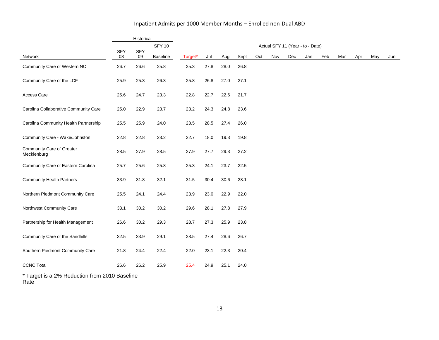#### Inpatient Admits per 1000 Member Months – Enrolled non-Dual ABD

|                                          |                  | Historical       |               |         |      |      |      |     |     |                                  |     |     |     |     |     |     |
|------------------------------------------|------------------|------------------|---------------|---------|------|------|------|-----|-----|----------------------------------|-----|-----|-----|-----|-----|-----|
|                                          |                  |                  | <b>SFY 10</b> |         |      |      |      |     |     | Actual SFY 11 (Year - to - Date) |     |     |     |     |     |     |
| Network                                  | <b>SFY</b><br>08 | <b>SFY</b><br>09 | Baseline      | Target* | Jul  | Aug  | Sept | Oct | Nov | Dec                              | Jan | Feb | Mar | Apr | May | Jun |
| Community Care of Western NC             | 26.7             | 26.6             | 25.8          | 25.3    | 27.8 | 28.0 | 26.8 |     |     |                                  |     |     |     |     |     |     |
| Community Care of the LCF                | 25.9             | 25.3             | 26.3          | 25.8    | 26.8 | 27.0 | 27.1 |     |     |                                  |     |     |     |     |     |     |
| Access Care                              | 25.6             | 24.7             | 23.3          | 22.8    | 22.7 | 22.6 | 21.7 |     |     |                                  |     |     |     |     |     |     |
| Carolina Collaborative Community Care    | 25.0             | 22.9             | 23.7          | 23.2    | 24.3 | 24.8 | 23.6 |     |     |                                  |     |     |     |     |     |     |
| Carolina Community Health Partnership    | 25.5             | 25.9             | 24.0          | 23.5    | 28.5 | 27.4 | 26.0 |     |     |                                  |     |     |     |     |     |     |
| Community Care - Wake/Johnston           | 22.8             | 22.8             | 23.2          | 22.7    | 18.0 | 19.3 | 19.8 |     |     |                                  |     |     |     |     |     |     |
| Community Care of Greater<br>Mecklenburg | 28.5             | 27.9             | 28.5          | 27.9    | 27.7 | 29.3 | 27.2 |     |     |                                  |     |     |     |     |     |     |
| Community Care of Eastern Carolina       | 25.7             | 25.6             | 25.8          | 25.3    | 24.1 | 23.7 | 22.5 |     |     |                                  |     |     |     |     |     |     |
| <b>Community Health Partners</b>         | 33.9             | 31.8             | 32.1          | 31.5    | 30.4 | 30.6 | 28.1 |     |     |                                  |     |     |     |     |     |     |
| Northern Piedmont Community Care         | 25.5             | 24.1             | 24.4          | 23.9    | 23.0 | 22.9 | 22.0 |     |     |                                  |     |     |     |     |     |     |
| Northwest Community Care                 | 33.1             | 30.2             | 30.2          | 29.6    | 28.1 | 27.8 | 27.9 |     |     |                                  |     |     |     |     |     |     |
| Partnership for Health Management        | 26.6             | 30.2             | 29.3          | 28.7    | 27.3 | 25.9 | 23.8 |     |     |                                  |     |     |     |     |     |     |
| Community Care of the Sandhills          | 32.5             | 33.9             | 29.1          | 28.5    | 27.4 | 28.6 | 26.7 |     |     |                                  |     |     |     |     |     |     |
| Southern Piedmont Community Care         | 21.8             | 24.4             | 22.4          | 22.0    | 23.1 | 22.3 | 20.4 |     |     |                                  |     |     |     |     |     |     |
| <b>CCNC Total</b>                        | 26.6             | 26.2             | 25.9          | 25.4    | 24.9 | 25.1 | 24.0 |     |     |                                  |     |     |     |     |     |     |

\* Target is a 2% Reduction from 2010 Baseline Rate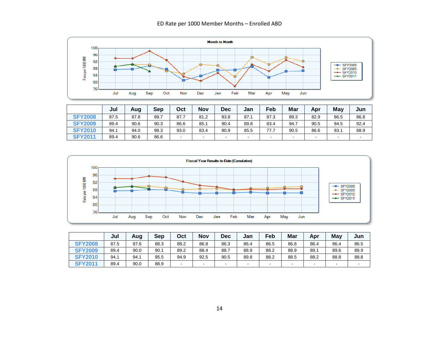#### ED Rate per 1000 Member Months – Enrolled ABD



|                | Jul  | Aug  | Sep  | Oct    | <b>Nov</b> | Dec  | Jan    | Feb  | Mar    | Apr  | Mav    | Jun  |
|----------------|------|------|------|--------|------------|------|--------|------|--------|------|--------|------|
| <b>SFY2008</b> | 87.5 | 87.8 | 89.7 | 87.7   | 81.2       | 83.8 | 87.1   | 87.3 | 89.3   | 82.9 | 86.5   | 86.8 |
| <b>SFY2009</b> | 89.4 | 90.6 | 90.3 | 86.6   | 85.1       | 90.4 | 89.8   | 83.4 | 94.7   | 90.5 | 94.5   | 92.4 |
| <b>SFY2010</b> | 94.1 | 94.0 | 98.3 | 93.0   | 83.4       | 80.9 | 85.5   | 77.7 | 90.5   | 86.6 | 93.1   | 88.9 |
| <b>SFY2011</b> | 89.4 | 90.6 | 86.6 | $\sim$ | $\sim$     |      | $\sim$ | . .  | $\sim$ | -    | $\sim$ |      |



|                | Jul  | Aug  | Sep  | Oct  | <b>Nov</b> | <b>Dec</b> | Jan  | Feb  | Mar                      | Apr  | May            | Jun  |
|----------------|------|------|------|------|------------|------------|------|------|--------------------------|------|----------------|------|
| <b>SFY2008</b> | 87.5 | 87.6 | 88.3 | 88.2 | 86.8       | 86.3       | 86.4 | 86.5 | 86.8                     | 86.4 | 86.4           | 86.5 |
| <b>SFY2009</b> | 89.4 | 90.0 | 90.1 | 89.2 | 88.4       | 88.7       | 88.9 | 88.2 | 88.9                     | 89.1 | 89.6           | 89.9 |
| <b>SFY2010</b> | 94.1 | 94.1 | 95.5 | 94.9 | 92.5       | 90.5       | 89.8 | 88.2 | 88.5                     | 88.2 | 88.8           | 88.8 |
| <b>SFY2011</b> | 89.4 | 90.0 | 88.9 | -    | $\sim$     | -          | ٠    |      | $\overline{\phantom{a}}$ |      | $\blacksquare$ |      |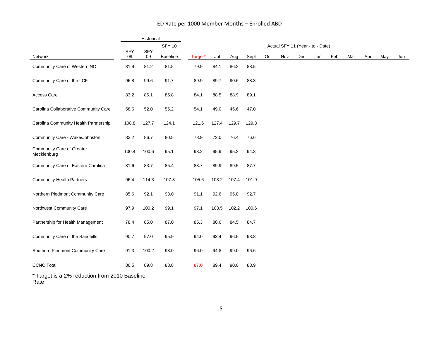#### ED Rate per 1000 Member Months – Enrolled ABD

|                                          |                  | Historical       |                 |         |       |       |       |     |                                  |     |     |     |     |     |     |     |
|------------------------------------------|------------------|------------------|-----------------|---------|-------|-------|-------|-----|----------------------------------|-----|-----|-----|-----|-----|-----|-----|
|                                          |                  |                  | <b>SFY 10</b>   |         |       |       |       |     | Actual SFY 11 (Year - to - Date) |     |     |     |     |     |     |     |
| Network                                  | <b>SFY</b><br>08 | <b>SFY</b><br>09 | <b>Baseline</b> | Target* | Jul   | Aug   | Sept  | Oct | Nov                              | Dec | Jan | Feb | Mar | Apr | May | Jun |
| Community Care of Western NC             | 81.9             | 81.2             | 81.5            | 79.9    | 84.1  | 86.2  | 88.5  |     |                                  |     |     |     |     |     |     |     |
| Community Care of the LCF                | 96.8             | 99.6             | 91.7            | 89.9    | 89.7  | 90.6  | 88.3  |     |                                  |     |     |     |     |     |     |     |
| <b>Access Care</b>                       | 83.2             | 86.1             | 85.8            | 84.1    | 88.5  | 88.9  | 89.1  |     |                                  |     |     |     |     |     |     |     |
| Carolina Collaborative Community Care    | 58.6             | 52.0             | 55.2            | 54.1    | 49.0  | 45.6  | 47.0  |     |                                  |     |     |     |     |     |     |     |
| Carolina Community Health Partnership    | 108.8            | 127.7            | 124.1           | 121.6   | 127.4 | 129.7 | 129.8 |     |                                  |     |     |     |     |     |     |     |
| Community Care - Wake/Johnston           | 83.2             | 86.7             | 80.5            | 78.9    | 72.0  | 76.4  | 76.6  |     |                                  |     |     |     |     |     |     |     |
| Community Care of Greater<br>Mecklenburg | 100.4            | 100.6            | 95.1            | 93.2    | 95.9  | 95.2  | 94.3  |     |                                  |     |     |     |     |     |     |     |
| Community Care of Eastern Carolina       | 81.6             | 83.7             | 85.4            | 83.7    | 89.9  | 89.5  | 87.7  |     |                                  |     |     |     |     |     |     |     |
| <b>Community Health Partners</b>         | 96.4             | 114.3            | 107.8           | 105.6   | 103.2 | 107.4 | 101.9 |     |                                  |     |     |     |     |     |     |     |
| Northern Piedmont Community Care         | 85.6             | 92.1             | 93.0            | 91.1    | 92.6  | 95.0  | 92.7  |     |                                  |     |     |     |     |     |     |     |
| Northwest Community Care                 | 97.9             | 100.2            | 99.1            | 97.1    | 103.5 | 102.2 | 100.6 |     |                                  |     |     |     |     |     |     |     |
| Partnership for Health Management        | 78.4             | 85.0             | 87.0            | 85.3    | 86.6  | 84.5  | 84.7  |     |                                  |     |     |     |     |     |     |     |
| Community Care of the Sandhills          | 90.7             | 97.0             | 95.9            | 94.0    | 93.4  | 96.5  | 93.8  |     |                                  |     |     |     |     |     |     |     |
| Southern Piedmont Community Care         | 91.3             | 100.2            | 98.0            | 96.0    | 94.8  | 99.0  | 96.6  |     |                                  |     |     |     |     |     |     |     |
| <b>CCNC Total</b>                        | 86.5             | 89.8             | 88.8            | 87.0    | 89.4  | 90.0  | 88.9  |     |                                  |     |     |     |     |     |     |     |

\* Target is a 2% reduction from 2010 Baseline Rate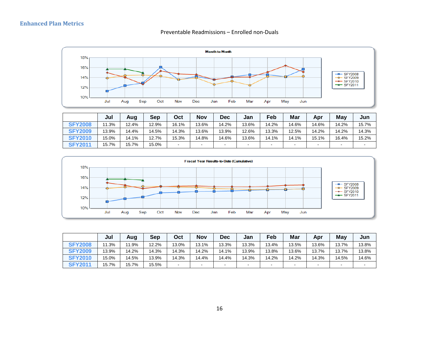

#### Preventable Readmissions – Enrolled non-Duals

<span id="page-17-0"></span>

|                | Jul   | Auq   | <b>Sep</b> | Oct                      | <b>Nov</b>               | <b>Dec</b>               | Jan    | Feb                      | Mar                      | Apr   | Mav                      | Jun   |
|----------------|-------|-------|------------|--------------------------|--------------------------|--------------------------|--------|--------------------------|--------------------------|-------|--------------------------|-------|
| <b>SFY2008</b> | 1.3%  | 12.4% | 12.9%      | 16.1%                    | 13.6%                    | 14.2%                    | 13.6%  | 14.2%                    | 14.6%                    | 14.6% | 14.2%                    | 15.7% |
| <b>SFY2009</b> | 13.9% | 14.4% | 14.5%      | 14.3%                    | 13.6%                    | 13.9%                    | 12.6%  | 13.3%                    | 12.5%                    | 14.2% | 14.2%                    | 14.3% |
| <b>SFY2010</b> | 15.0% | 14.1% | 12.7%      | 15.3%                    | 14.8%                    | 14.6%                    | 13.6%  | 14.1%                    | 14.1%                    | 15.1% | 16.4%                    | 15.2% |
| <b>SFY2011</b> | 15.7% | 15.7% | 15.0%      | $\overline{\phantom{0}}$ | $\overline{\phantom{a}}$ | $\overline{\phantom{a}}$ | $\sim$ | $\overline{\phantom{0}}$ | $\overline{\phantom{a}}$ | -     | $\overline{\phantom{a}}$ |       |



|                | Jul   | Aug   | Sep   | Oct    | <b>Nov</b> | <b>Dec</b>               | Jan    | Feb    | Mar            | Apr   | May    | Jun   |
|----------------|-------|-------|-------|--------|------------|--------------------------|--------|--------|----------------|-------|--------|-------|
| <b>SFY2008</b> | .3%   | 11.9% | 12.2% | 13.0%  | 13.1%      | 13.3%                    | 13.3%  | 13.4%  | 13.5%          | 13.6% | 13.7%  | 13.8% |
| <b>SFY2009</b> | 13.9% | 14.2% | 14.3% | 14.3%  | 14.2%      | 14.1%                    | 13.9%  | 13.8%  | 13.6%          | 13.7% | 13.7%  | 13.8% |
| <b>SFY2010</b> | 15.0% | 14.5% | 13.9% | 14.3%  | 14.4%      | 14.4%                    | 14.3%  | 14.2%  | 14.2%          | 14.3% | 14.5%  | 14.6% |
| <b>SFY2011</b> | 15.7% | 15.7% | 15.5% | $\sim$ | $\sim$     | $\overline{\phantom{0}}$ | $\sim$ | $\sim$ | $\blacksquare$ |       | $\sim$ |       |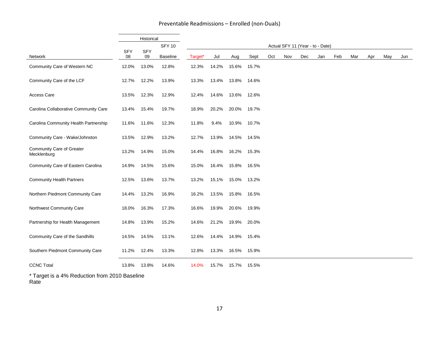#### Preventable Readmissions – Enrolled (non-Duals)

|                                                 |                  | Historical       |                 |         |       |       |       |     |     |     |                                  |     |     |     |     |     |
|-------------------------------------------------|------------------|------------------|-----------------|---------|-------|-------|-------|-----|-----|-----|----------------------------------|-----|-----|-----|-----|-----|
|                                                 |                  |                  | <b>SFY 10</b>   |         |       |       |       |     |     |     | Actual SFY 11 (Year - to - Date) |     |     |     |     |     |
| Network                                         | <b>SFY</b><br>08 | <b>SFY</b><br>09 | <b>Baseline</b> | Target* | Jul   | Aug   | Sept  | Oct | Nov | Dec | Jan                              | Feb | Mar | Apr | May | Jun |
| Community Care of Western NC                    | 12.0%            | 13.0%            | 12.8%           | 12.3%   | 14.2% | 15.6% | 15.7% |     |     |     |                                  |     |     |     |     |     |
| Community Care of the LCF                       | 12.7%            | 12.2%            | 13.9%           | 13.3%   | 13.4% | 13.8% | 14.6% |     |     |     |                                  |     |     |     |     |     |
| Access Care                                     | 13.5%            | 12.3%            | 12.9%           | 12.4%   | 14.6% | 13.6% | 12.6% |     |     |     |                                  |     |     |     |     |     |
| Carolina Collaborative Community Care           | 13.4%            | 15.4%            | 19.7%           | 18.9%   | 20.2% | 20.0% | 19.7% |     |     |     |                                  |     |     |     |     |     |
| Carolina Community Health Partnership           | 11.6%            | 11.6%            | 12.3%           | 11.8%   | 9.4%  | 10.9% | 10.7% |     |     |     |                                  |     |     |     |     |     |
| Community Care - Wake/Johnston                  | 13.5%            | 12.9%            | 13.2%           | 12.7%   | 13.9% | 14.5% | 14.5% |     |     |     |                                  |     |     |     |     |     |
| <b>Community Care of Greater</b><br>Mecklenburg | 13.2%            | 14.9%            | 15.0%           | 14.4%   | 16.8% | 16.2% | 15.3% |     |     |     |                                  |     |     |     |     |     |
| Community Care of Eastern Carolina              | 14.9%            | 14.5%            | 15.6%           | 15.0%   | 16.4% | 15.8% | 16.5% |     |     |     |                                  |     |     |     |     |     |
| <b>Community Health Partners</b>                | 12.5%            | 13.6%            | 13.7%           | 13.2%   | 15.1% | 15.0% | 13.2% |     |     |     |                                  |     |     |     |     |     |
| Northern Piedmont Community Care                | 14.4%            | 13.2%            | 16.9%           | 16.2%   | 13.5% | 15.8% | 16.5% |     |     |     |                                  |     |     |     |     |     |
| Northwest Community Care                        | 18.0%            | 16.3%            | 17.3%           | 16.6%   | 19.9% | 20.6% | 19.9% |     |     |     |                                  |     |     |     |     |     |
| Partnership for Health Management               | 14.8%            | 13.9%            | 15.2%           | 14.6%   | 21.2% | 19.9% | 20.0% |     |     |     |                                  |     |     |     |     |     |
| Community Care of the Sandhills                 | 14.5%            | 14.5%            | 13.1%           | 12.6%   | 14.4% | 14.9% | 15.4% |     |     |     |                                  |     |     |     |     |     |
| Southern Piedmont Community Care                | 11.2%            | 12.4%            | 13.3%           | 12.8%   | 13.3% | 16.5% | 15.9% |     |     |     |                                  |     |     |     |     |     |
| <b>CCNC Total</b>                               | 13.8%            | 13.8%            | 14.6%           | 14.0%   | 15.7% | 15.7% | 15.5% |     |     |     |                                  |     |     |     |     |     |

\* Target is a 4% Reduction from 2010 Baseline Rate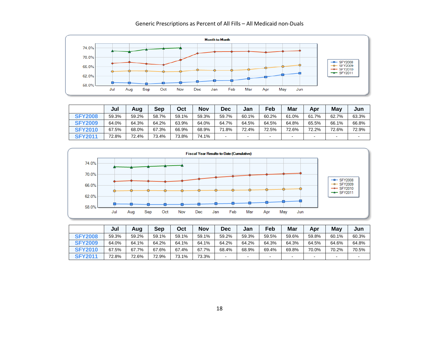

#### Generic Prescriptions as Percent of All Fills – All Medicaid non-Duals

|                | Jul   | Aug   | <b>Sep</b> | Oct   | Nov   | <b>Dec</b> | Jan                      | Feb                      | Mar            | Apr   | May   | Jun   |
|----------------|-------|-------|------------|-------|-------|------------|--------------------------|--------------------------|----------------|-------|-------|-------|
| <b>SFY2008</b> | 59.3% | 59.2% | 58.7%      | 59.1% | 59.3% | 59.7%      | 60.1%                    | 60.2%                    | 61.0%          | 61.7% | 62.7% | 63.3% |
| <b>SFY2009</b> | 64.0% | 64.3% | 64.2%      | 63.9% | 64.0% | 64.7%      | 64.5%                    | 64.5%                    | 64.8%          | 65.5% | 66.1% | 66.8% |
| <b>SFY2010</b> | 67.5% | 68.0% | 67.3%      | 66.9% | 68.9% | 71.8%      | 72.4%                    | 72.5%                    | 72.6%          | 72.2% | 72.6% | 72.9% |
| <b>SFY2011</b> | 72.8% | 72.4% | 73.4%      | 73.8% | 74.1% | ۰.         | $\overline{\phantom{a}}$ | $\overline{\phantom{a}}$ | $\blacksquare$ | $\,$  |       | $\,$  |



|                | Jul   | Aug   | <b>Sep</b> | Oct   | Nov   | <b>Dec</b> | Jan                      | Feb   | Mar       | Apr   | Mav                      | Jun   |
|----------------|-------|-------|------------|-------|-------|------------|--------------------------|-------|-----------|-------|--------------------------|-------|
| <b>SFY2008</b> | 59.3% | 59.2% | 59.1%      | 59.1% | 59.1% | 59.2%      | 59.3%                    | 59.5% | 59.6%     | 59.8% | 60.1%                    | 60.3% |
| <b>SFY2009</b> | 64.0% | 64.1% | 64.2%      | 64.1% | 64.1% | 64.2%      | 64.2%                    | 64.3% | 64.3%     | 64.5% | 64.6%                    | 64.8% |
| <b>SFY2010</b> | 67.5% | 67.7% | 67.6%      | 67.4% | 67.7% | 68.4%      | 68.9%                    | 69.4% | 69.8%     | 70.0% | 70.2%                    | 70.5% |
| <b>SFY2011</b> | 72.8% | 72.6% | 72.9%      | 73.1% | 73.3% | -          | $\overline{\phantom{a}}$ |       | $\,$ $\,$ |       | $\overline{\phantom{a}}$ |       |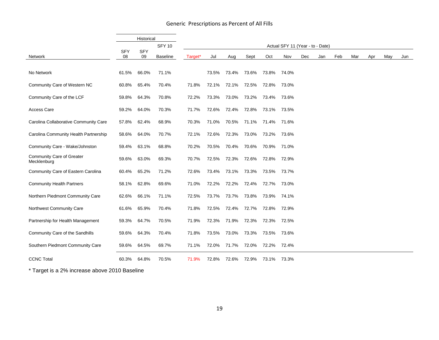|                                          |                  | Historical       |                 |         |       |             |       |             |                                  |     |     |     |     |     |     |     |
|------------------------------------------|------------------|------------------|-----------------|---------|-------|-------------|-------|-------------|----------------------------------|-----|-----|-----|-----|-----|-----|-----|
|                                          |                  |                  | <b>SFY 10</b>   |         |       |             |       |             | Actual SFY 11 (Year - to - Date) |     |     |     |     |     |     |     |
| Network                                  | <b>SFY</b><br>08 | <b>SFY</b><br>09 | <b>Baseline</b> | Target* | Jul   | Aug         | Sept  | Oct         | Nov                              | Dec | Jan | Feb | Mar | Apr | May | Jun |
| No Network                               | 61.5%            | 66.0%            | 71.1%           |         | 73.5% | 73.4%       | 73.6% | 73.8%       | 74.0%                            |     |     |     |     |     |     |     |
| Community Care of Western NC             | 60.8%            | 65.4%            | 70.4%           | 71.8%   | 72.1% | 72.1% 72.5% |       | 72.8%       | 73.0%                            |     |     |     |     |     |     |     |
| Community Care of the LCF                | 59.8%            | 64.3%            | 70.8%           | 72.2%   | 73.3% | 73.0%       | 73.2% | 73.4%       | 73.6%                            |     |     |     |     |     |     |     |
| <b>Access Care</b>                       | 59.2%            | 64.0%            | 70.3%           | 71.7%   | 72.6% | 72.4% 72.8% |       |             | 73.1% 73.5%                      |     |     |     |     |     |     |     |
| Carolina Collaborative Community Care    | 57.8%            | 62.4%            | 68.9%           | 70.3%   | 71.0% | 70.5% 71.1% |       | 71.4% 71.6% |                                  |     |     |     |     |     |     |     |
| Carolina Community Health Partnership    | 58.6%            | 64.0%            | 70.7%           | 72.1%   | 72.6% | 72.3% 73.0% |       | 73.2%       | 73.6%                            |     |     |     |     |     |     |     |
| Community Care - Wake/Johnston           | 59.4%            | 63.1%            | 68.8%           | 70.2%   | 70.5% | 70.4%       | 70.6% | 70.9% 71.0% |                                  |     |     |     |     |     |     |     |
| Community Care of Greater<br>Mecklenburg | 59.6%            | 63.0%            | 69.3%           | 70.7%   | 72.5% | 72.3% 72.6% |       | 72.8% 72.9% |                                  |     |     |     |     |     |     |     |
| Community Care of Eastern Carolina       | 60.4%            | 65.2%            | 71.2%           | 72.6%   | 73.4% | 73.1% 73.3% |       | 73.5% 73.7% |                                  |     |     |     |     |     |     |     |
| <b>Community Health Partners</b>         | 58.1%            | 62.8%            | 69.6%           | 71.0%   | 72.2% | 72.2%       | 72.4% | 72.7%       | 73.0%                            |     |     |     |     |     |     |     |
| Northern Piedmont Community Care         | 62.6%            | 66.1%            | 71.1%           | 72.5%   | 73.7% | 73.7%       | 73.8% | 73.9%       | 74.1%                            |     |     |     |     |     |     |     |
| Northwest Community Care                 | 61.6%            | 65.9%            | 70.4%           | 71.8%   | 72.5% | 72.4% 72.7% |       | 72.8% 72.9% |                                  |     |     |     |     |     |     |     |
| Partnership for Health Management        | 59.3%            | 64.7%            | 70.5%           | 71.9%   | 72.3% | 71.9% 72.3% |       | 72.3% 72.5% |                                  |     |     |     |     |     |     |     |
| Community Care of the Sandhills          | 59.6%            | 64.3%            | 70.4%           | 71.8%   | 73.5% | 73.0%       | 73.3% |             | 73.5% 73.6%                      |     |     |     |     |     |     |     |
| Southern Piedmont Community Care         | 59.6%            | 64.5%            | 69.7%           | 71.1%   | 72.0% | 71.7% 72.0% |       | 72.2%       | 72.4%                            |     |     |     |     |     |     |     |
| <b>CCNC Total</b>                        | 60.3%            | 64.8%            | 70.5%           | 71.9%   | 72.8% | 72.6%       | 72.9% | 73.1%       | 73.3%                            |     |     |     |     |     |     |     |

#### Generic Prescriptions as Percent of All Fills

\* Target is a 2% increase above 2010 Baseline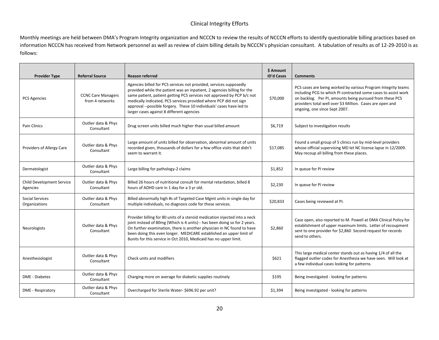#### Clinical Integrity Efforts

Monthly meetings are held between DMA's Program Integrity organization and NCCCN to review the results of NCCCN efforts to identify questionable billing practices based on information NCCCN has received from Network personnel as well as review of claim billing details by NCCCN's physician consultant. A tabulation of results as of 12-29-2010 is as follows:

| <b>Provider Type</b>                    | <b>Referral Source</b>                       | <b>Reason referred</b>                                                                                                                                                                                                                                                                                                                                                                                            | \$ Amount<br><b>ID'd Cases</b> | <b>Comments</b>                                                                                                                                                                                                                                                                           |
|-----------------------------------------|----------------------------------------------|-------------------------------------------------------------------------------------------------------------------------------------------------------------------------------------------------------------------------------------------------------------------------------------------------------------------------------------------------------------------------------------------------------------------|--------------------------------|-------------------------------------------------------------------------------------------------------------------------------------------------------------------------------------------------------------------------------------------------------------------------------------------|
| <b>PCS Agencies</b>                     | <b>CCNC Care Managers</b><br>from 4 networks | Agencies billed for PCS services not provided, services supposedly<br>provided while the patient was an inpatient, 2 agencies billing for the<br>same patient, patient getting PCS services not approved by PCP b/c not<br>medically indicated, PCS services provided where PCP did not sign<br>approval --possible forgery. These 10 individuals' cases have led to<br>larger cases against 8 different agencies | \$70,000                       | PCS cases are being worked by various Program Integrity teams<br>including PCG to which PI contracted some cases to assist work<br>on backlog. Per PI, amounts being pursued from these PCS<br>providers total well over \$3 Million. Cases are open and<br>ongoing, one since Sept 2007. |
| Pain Clinics                            | Outlier data & Phys<br>Consultant            | Drug screen units billed much higher than usual billed amount                                                                                                                                                                                                                                                                                                                                                     | \$6,719                        | Subject to investigation results                                                                                                                                                                                                                                                          |
| Providers of Allergy Care               | Outlier data & Phys<br>Consultant            | Large amount of units billed for observation, abnormal amount of units<br>recorded given, thousands of dollars for a few office visits that didn't<br>seem to warrant it.                                                                                                                                                                                                                                         | \$17,085                       | Found a small group of 5 clinics run by mid-level providers<br>whose official supervising MD let NC license lapse in 12/2009.<br>May recoup all billing from these places.                                                                                                                |
| Dermatologist                           | Outlier data & Phys<br>Consultant            | Large billing for pathology-2 claims                                                                                                                                                                                                                                                                                                                                                                              | \$1,852                        | In queue for PI review                                                                                                                                                                                                                                                                    |
| Child Development Service<br>Agencies   | Outlier data & Phys<br>Consultant            | Billed 26 hours of nutritional consult for mental retardation, billed 8<br>hours of ADHD care in 1 day for a 3 yr old.                                                                                                                                                                                                                                                                                            | \$2,230                        | In queue for PI review                                                                                                                                                                                                                                                                    |
| <b>Social Services</b><br>Organizations | Outlier data & Phys<br>Consultant            | Billed abnormally high #s of Targeted Case Mgmt units in single day for<br>multiple individuals, no diagnosis code for these services.                                                                                                                                                                                                                                                                            | \$20,833                       | Cases being reviewed at PI.                                                                                                                                                                                                                                                               |
| Neurologists                            | Outlier data & Phys<br>Consultant            | Provider billing for 80 units of a steroid medication injected into a neck<br>joint instead of 80mg (Which is 4 units)-- has been doing so for 2 years.<br>On further examination, there is another physician in NC found to have<br>been doing this even longer. MEDICARE established an upper limit of<br>8units for this service in Oct 2010, Medicaid has no upper limit.                                     | \$2,860                        | Case open, also reported to M. Powell at DMA Clinical Policy for<br>establishment of upper maximum limits. Letter of recoupment<br>sent to one provider for \$2,860 Second request for records<br>send to others.                                                                         |
| Anesthesiologist                        | Outlier data & Phys<br>Consultant            | Check units and modifiers                                                                                                                                                                                                                                                                                                                                                                                         | \$621                          | This large medical center stands out as having 1/4 of all the<br>flagged outlier codes for Anesthesia we have seen. Will look at<br>a few individual cases looking for patterns.                                                                                                          |
| <b>DME</b> - Diabetes                   | Outlier data & Phys<br>Consultant            | Charging more on average for diabetic supplies routinely                                                                                                                                                                                                                                                                                                                                                          | \$195                          | Being investigated - looking for patterns                                                                                                                                                                                                                                                 |
| DME - Respiratory                       | Outlier data & Phys<br>Consultant            | Overcharged for Sterile Water- \$696.92 per unit?                                                                                                                                                                                                                                                                                                                                                                 | \$1,394                        | Being investigated - looking for patterns                                                                                                                                                                                                                                                 |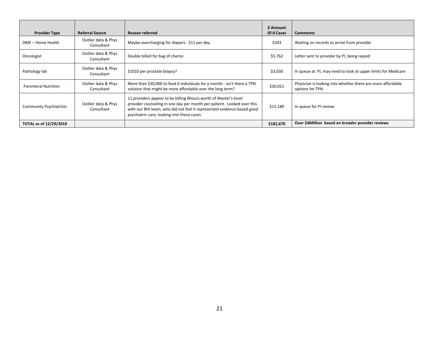| <b>Provider Type</b>           | <b>Referral Source</b>            | <b>Reason referred</b>                                                                                                                                                                                                                                               | \$ Amount<br><b>ID'd Cases</b> | <b>Comments</b>                                                                |
|--------------------------------|-----------------------------------|----------------------------------------------------------------------------------------------------------------------------------------------------------------------------------------------------------------------------------------------------------------------|--------------------------------|--------------------------------------------------------------------------------|
| DME – Home Health              | Outlier data & Phys<br>Consultant | Maybe overcharging for diapers-\$11 per day.                                                                                                                                                                                                                         | \$343                          | Waiting on records to arrive from provider                                     |
| Oncologist                     | Outlier data & Phys<br>Consultant | Double billed for bag of chemo                                                                                                                                                                                                                                       | \$5,762                        | Letter sent to provider by PI, being repaid                                    |
| Pathology lab                  | Outlier data & Phys<br>Consultant | \$1010 per prostate biopsy?                                                                                                                                                                                                                                          | \$3,030                        | In queue at PI, may need to look at upper limits for Medicare                  |
| Parenteral Nutrition           | Outlier data & Phys<br>Consultant | More than \$30,000 to feed 6 individuals for a month-- isn't there a TPN<br>solution that might be more affordable over the long term?                                                                                                                               | \$30,021                       | Physician is looking into whether there are more affordable<br>options for TPN |
| <b>Community Psychiatrists</b> | Outlier data & Phys<br>Consultant | 11 providers appear to be billing 8 hours worth of Master's-level<br>provider counseling in one day per month per patient. Looked over this<br>with our BHI team, who did not feel it represented evidence-based good<br>psychiatric care, looking into these cases. | \$15,180                       | In queue for PI review                                                         |
| TOTAL as of 12/29/2010         |                                   |                                                                                                                                                                                                                                                                      | \$182,670                      | Over \$4Million based on broader provider reviews                              |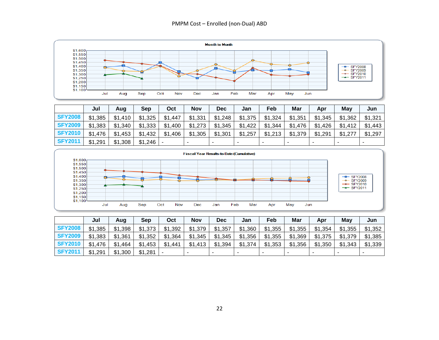#### PMPM Cost – Enrolled (non-Dual) ABD



|                | Jul     | Aug     | <b>Sep</b> | Oct     | <b>Nov</b> | <b>Dec</b> | Jan     | Feb     | Mar     | Apr     | May     | Jun     |
|----------------|---------|---------|------------|---------|------------|------------|---------|---------|---------|---------|---------|---------|
| <b>SFY2008</b> | \$1,385 | \$1,410 | \$1,325    | \$1,447 | \$1,331    | \$1,248    | \$1,375 | \$1,324 | \$1,351 | \$1,345 | \$1,362 | \$1,321 |
| <b>SFY2009</b> | \$1,383 | \$1,340 | \$1,333    | \$1,400 | \$1,273    | \$1,345    | \$1,422 | \$1,344 | \$1,476 | \$1,426 | \$1,412 | \$1,443 |
| <b>SFY2010</b> | \$1.476 | \$1,453 | \$1,432    | \$1,406 | \$1,305    | \$1,301    | \$1,257 | \$1,213 | \$1,379 | \$1,291 | \$1,277 | \$1,297 |
| <b>SFY2011</b> | \$1,291 | \$1,308 | $$1,246$ - |         |            | $\,$       |         |         |         |         |         |         |



|                | Jul     | Aug     | Sep     | Oct     | <b>Nov</b>               | <b>Dec</b> | Jan                      | Feb     | Mar     | Apr     | Mav     | Jun     |
|----------------|---------|---------|---------|---------|--------------------------|------------|--------------------------|---------|---------|---------|---------|---------|
| <b>SFY2008</b> | \$1,385 | \$1,398 | \$1,373 | \$1,392 | \$1,379                  | \$1,357    | \$1,360                  | \$1,355 | \$1,355 | \$1,354 | \$1,355 | \$1,352 |
| <b>SFY2009</b> | \$1,383 | \$1,361 | \$1,352 | \$1,364 | \$1,345                  | \$1,345    | \$1,356                  | \$1,355 | \$1,369 | \$1,375 | \$1,379 | \$1,385 |
| <b>SFY2010</b> | \$1,476 | \$1,464 | \$1,453 | \$1,441 | \$1,413                  | \$1,394    | \$1,374                  | \$1,353 | \$1,356 | \$1,350 | \$1,343 | \$1,339 |
| <b>SFY2011</b> | \$1,291 | \$1,300 | \$1,281 |         | $\overline{\phantom{a}}$ |            | $\overline{\phantom{a}}$ |         | -       |         |         |         |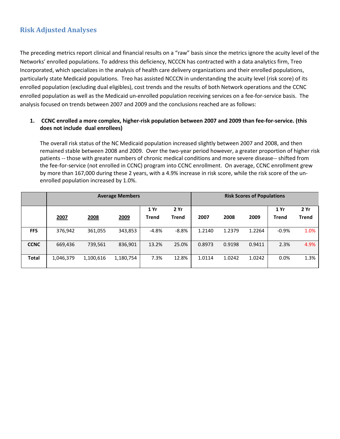# <span id="page-24-0"></span>**Risk Adjusted Analyses**

The preceding metrics report clinical and financial results on a "raw" basis since the metrics ignore the acuity level of the Networks' enrolled populations. To address this deficiency, NCCCN has contracted with a data analytics firm, Treo Incorporated, which specializes in the analysis of health care delivery organizations and their enrolled populations, particularly state Medicaid populations. Treo has assisted NCCCN in understanding the acuity level (risk score) of its enrolled population (excluding dual eligibles), cost trends and the results of both Network operations and the CCNC enrolled population as well as the Medicaid un-enrolled population receiving services on a fee-for-service basis. The analysis focused on trends between 2007 and 2009 and the conclusions reached are as follows:

#### **1. CCNC enrolled a more complex, higher-risk population between 2007 and 2009 than fee-for-service. (this does not include dual enrollees)**

The overall risk status of the NC Medicaid population increased slightly between 2007 and 2008, and then remained stable between 2008 and 2009. Over the two-year period however, a greater proportion of higher risk patients -- those with greater numbers of chronic medical conditions and more severe disease-- shifted from the fee-for-service (not enrolled in CCNC) program into CCNC enrollment. On average, CCNC enrollment grew by more than 167,000 during these 2 years, with a 4.9% increase in risk score, while the risk score of the unenrolled population increased by 1.0%.

|              |           |           | <b>Average Members</b> |         |              |        |        | <b>Risk Scores of Populations</b> |         |       |
|--------------|-----------|-----------|------------------------|---------|--------------|--------|--------|-----------------------------------|---------|-------|
|              |           |           |                        | 1 Yr    | 2Yr          |        |        |                                   | 1 Yr    | 2Yr   |
|              | 2007      | 2008      | 2009                   | Trend   | <b>Trend</b> | 2007   | 2008   | 2009                              | Trend   | Trend |
|              |           |           |                        |         |              |        |        |                                   |         |       |
| <b>FFS</b>   | 376,942   | 361,055   | 343,853                | $-4.8%$ | $-8.8%$      | 1.2140 | 1.2379 | 1.2264                            | $-0.9%$ | 1.0%  |
| <b>CCNC</b>  | 669,436   | 739,561   | 836,901                | 13.2%   | 25.0%        | 0.8973 | 0.9198 | 0.9411                            | 2.3%    | 4.9%  |
|              |           |           |                        |         |              |        |        |                                   |         |       |
| <b>Total</b> | 1,046,379 | 1,100,616 | 1,180,754              | 7.3%    | 12.8%        | 1.0114 | 1.0242 | 1.0242                            | 0.0%    | 1.3%  |
|              |           |           |                        |         |              |        |        |                                   |         |       |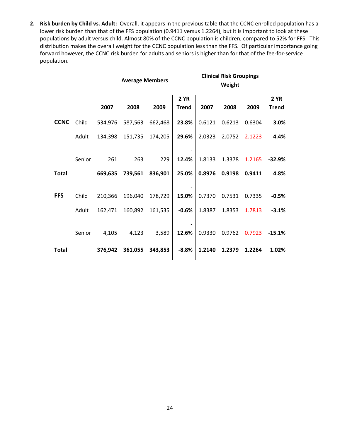**2. Risk burden by Child vs. Adult:** Overall, it appears in the previous table that the CCNC enrolled population has a lower risk burden than that of the FFS population (0.9411 versus 1.2264), but it is important to look at these populations by adult versus child. Almost 80% of the CCNC population is children, compared to 52% for FFS. This distribution makes the overall weight for the CCNC population less than the FFS. Of particular importance going forward however, the CCNC risk burden for adults and seniors is higher than for that of the fee-for-service population.

|              |        |         | <b>Average Members</b> |         |                             | <b>Clinical Risk Groupings</b> |        |        |                      |
|--------------|--------|---------|------------------------|---------|-----------------------------|--------------------------------|--------|--------|----------------------|
|              |        | 2007    | 2008                   | 2009    | <b>2 YR</b><br><b>Trend</b> | 2007                           | 2008   | 2009   | 2 YR<br><b>Trend</b> |
| <b>CCNC</b>  | Child  | 534,976 | 587,563                | 662,468 | 23.8%                       | 0.6121                         | 0.6213 | 0.6304 | 3.0%                 |
|              | Adult  | 134,398 | 151,735                | 174,205 | 29.6%                       | 2.0323                         | 2.0752 | 2.1223 | 4.4%                 |
|              | Senior | 261     | 263                    | 229     | 12.4%                       | 1.8133                         | 1.3378 | 1.2165 | $-32.9%$             |
| <b>Total</b> |        | 669,635 | 739,561                | 836,901 | 25.0%                       | 0.8976                         | 0.9198 | 0.9411 | 4.8%                 |
|              |        |         |                        |         |                             |                                |        |        |                      |
| <b>FFS</b>   | Child  | 210,366 | 196,040                | 178,729 | 15.0%                       | 0.7370                         | 0.7531 | 0.7335 | $-0.5%$              |
|              | Adult  | 162,471 | 160,892                | 161,535 | $-0.6%$                     | 1.8387                         | 1.8353 | 1.7813 | $-3.1%$              |
|              | Senior | 4,105   | 4,123                  | 3,589   | 12.6%                       | 0.9330                         | 0.9762 | 0.7923 | $-15.1%$             |
| <b>Total</b> |        | 376.942 | 361,055                | 343,853 | $-8.8%$                     | 1.2140                         | 1.2379 | 1.2264 | 1.02%                |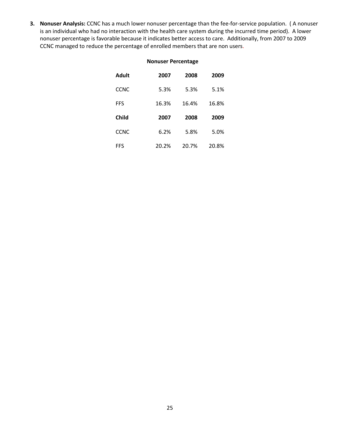**3. Nonuser Analysis:** CCNC has a much lower nonuser percentage than the fee-for-service population. ( A nonuser is an individual who had no interaction with the health care system during the incurred time period). A lower nonuser percentage is favorable because it indicates better access to care. Additionally, from 2007 to 2009 CCNC managed to reduce the percentage of enrolled members that are non users.

| <b>Nonuser Percentage</b> |       |       |       |  |  |  |  |  |  |  |  |
|---------------------------|-------|-------|-------|--|--|--|--|--|--|--|--|
| Adult                     | 2007  | 2008  | 2009  |  |  |  |  |  |  |  |  |
| CCNC                      | 5.3%  | 5.3%  | 5.1%  |  |  |  |  |  |  |  |  |
| FFS                       | 16.3% | 16.4% | 16.8% |  |  |  |  |  |  |  |  |
| Child                     | 2007  | 2008  | 2009  |  |  |  |  |  |  |  |  |
| CCNC                      | 6.2%  | 5.8%  | 5.0%  |  |  |  |  |  |  |  |  |
| FFS                       | 20.2% | 20.7% | 20.8% |  |  |  |  |  |  |  |  |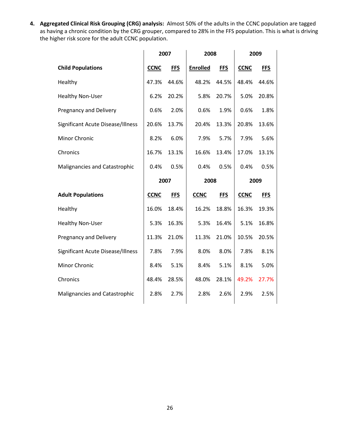**4. Aggregated Clinical Risk Grouping (CRG) analysis:** Almost 50% of the adults in the CCNC population are tagged as having a chronic condition by the CRG grouper, compared to 28% in the FFS population. This is what is driving the higher risk score for the adult CCNC population.

|                                   | 2007        |            | 2008        |            |             | 2009       |
|-----------------------------------|-------------|------------|-------------|------------|-------------|------------|
| <b>Child Populations</b>          | <b>CCNC</b> | <b>FFS</b> | Enrolled    | <b>FFS</b> | <b>CCNC</b> | <b>FFS</b> |
| Healthy                           | 47.3%       | 44.6%      | 48.2%       | 44.5%      | 48.4%       | 44.6%      |
| Healthy Non-User                  | 6.2%        | 20.2%      | 5.8%        | 20.7%      | 5.0%        | 20.8%      |
| Pregnancy and Delivery            | 0.6%        | 2.0%       | 0.6%        | 1.9%       | 0.6%        | 1.8%       |
| Significant Acute Disease/Illness | 20.6%       | 13.7%      | 20.4%       | 13.3%      | 20.8%       | 13.6%      |
| Minor Chronic                     | 8.2%        | 6.0%       | 7.9%        | 5.7%       | 7.9%        | 5.6%       |
| Chronics                          | 16.7%       | 13.1%      | 16.6%       | 13.4%      | 17.0%       | 13.1%      |
| Malignancies and Catastrophic     | 0.4%        | 0.5%       | 0.4%        | 0.5%       | 0.4%        | 0.5%       |
|                                   |             | 2007       | 2008        |            |             | 2009       |
| <b>Adult Populations</b>          | <b>CCNC</b> | <b>FFS</b> | <b>CCNC</b> | <b>FFS</b> | <b>CCNC</b> | <b>FFS</b> |
| Healthy                           | 16.0%       | 18.4%      | 16.2%       | 18.8%      | 16.3%       | 19.3%      |
| Healthy Non-User                  | 5.3%        | 16.3%      | 5.3%        | 16.4%      | 5.1%        | 16.8%      |
| <b>Pregnancy and Delivery</b>     | 11.3%       | 21.0%      | 11.3%       | 21.0%      | 10.5%       | 20.5%      |
| Significant Acute Disease/Illness | 7.8%        | 7.9%       | 8.0%        | 8.0%       | 7.8%        | 8.1%       |
| Minor Chronic                     | 8.4%        | 5.1%       | 8.4%        | 5.1%       | 8.1%        | 5.0%       |
| Chronics                          | 48.4%       | 28.5%      | 48.0%       | 28.1%      | 49.2%       | 27.7%      |
| Malignancies and Catastrophic     | 2.8%        | 2.7%       | 2.8%        | 2.6%       | 2.9%        | 2.5%       |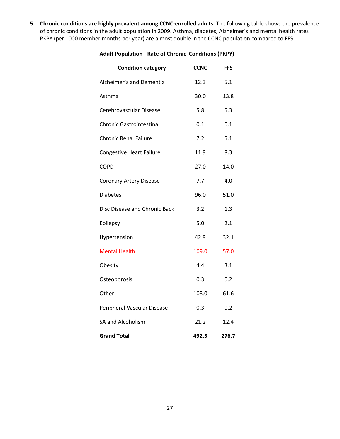**5. Chronic conditions are highly prevalent among CCNC-enrolled adults.** The following table shows the prevalence of chronic conditions in the adult population in 2009. Asthma, diabetes, Alzheimer's and mental health rates PKPY (per 1000 member months per year) are almost double in the CCNC population compared to FFS.

### **Adult Population - Rate of Chronic Conditions (PKPY)**

| <b>Condition category</b>       | <b>CCNC</b> | <b>FFS</b> |
|---------------------------------|-------------|------------|
| Alzheimer's and Dementia        | 12.3        | 5.1        |
| Asthma                          | 30.0        | 13.8       |
| Cerebrovascular Disease         | 5.8         | 5.3        |
| <b>Chronic Gastrointestinal</b> | $0.1\,$     | 0.1        |
| <b>Chronic Renal Failure</b>    | 7.2         | 5.1        |
| <b>Congestive Heart Failure</b> | 11.9        | 8.3        |
| <b>COPD</b>                     | 27.0        | 14.0       |
| <b>Coronary Artery Disease</b>  | 7.7         | 4.0        |
| <b>Diabetes</b>                 | 96.0        | 51.0       |
| Disc Disease and Chronic Back   | 3.2         | 1.3        |
| Epilepsy                        | 5.0         | 2.1        |
| Hypertension                    | 42.9        | 32.1       |
| <b>Mental Health</b>            | 109.0       | 57.0       |
| Obesity                         | 4.4         | 3.1        |
| Osteoporosis                    | 0.3         | 0.2        |
| Other                           | 108.0       | 61.6       |
| Peripheral Vascular Disease     | 0.3         | 0.2        |
| SA and Alcoholism               | 21.2        | 12.4       |
| <b>Grand Total</b>              | 492.5       | 276.7      |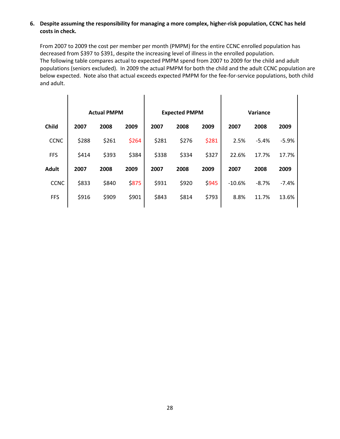#### **6. Despite assuming the responsibility for managing a more complex, higher-risk population, CCNC has held costs in check.**

From 2007 to 2009 the cost per member per month (PMPM) for the entire CCNC enrolled population has decreased from \$397 to \$391, despite the increasing level of illness in the enrolled population. The following table compares actual to expected PMPM spend from 2007 to 2009 for the child and adult populations (seniors excluded). In 2009 the actual PMPM for both the child and the adult CCNC population are below expected. Note also that actual exceeds expected PMPM for the fee-for-service populations, both child and adult.

|              | <b>Actual PMPM</b> |       |              |       | <b>Expected PMPM</b> |       |          | Variance |         |  |  |
|--------------|--------------------|-------|--------------|-------|----------------------|-------|----------|----------|---------|--|--|
| <b>Child</b> | 2007               | 2008  | 2009         | 2007  | 2008                 | 2009  | 2007     | 2008     | 2009    |  |  |
| <b>CCNC</b>  | \$288              | \$261 | \$264        | \$281 | \$276                | \$281 | 2.5%     | $-5.4%$  | $-5.9%$ |  |  |
| <b>FFS</b>   | \$414              | \$393 | \$384        | \$338 | \$334                | \$327 | 22.6%    | 17.7%    | 17.7%   |  |  |
| <b>Adult</b> | 2007               | 2008  | 2009         | 2007  | 2008                 | 2009  | 2007     | 2008     | 2009    |  |  |
| <b>CCNC</b>  | \$833              | \$840 | <b>\$875</b> | \$931 | \$920                | \$945 | $-10.6%$ | $-8.7%$  | $-7.4%$ |  |  |
| <b>FFS</b>   | \$916              | \$909 | \$901        | \$843 | \$814                | \$793 | 8.8%     | 11.7%    | 13.6%   |  |  |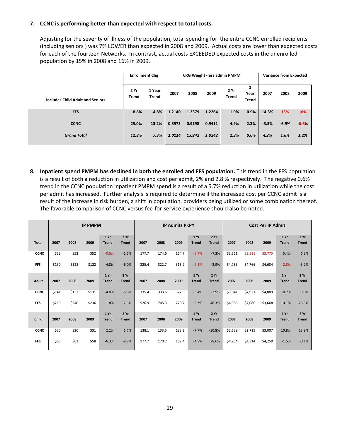#### **7. CCNC is performing better than expected with respect to total costs.**

Adjusting for the severity of illness of the population, total spending for the entire CCNC enrolled recipients (including seniors ) was 7% LOWER than expected in 2008 and 2009. Actual costs are lower than expected costs for each of the fourteen Networks. In contrast, actual costs EXCEEDED expected costs in the unenrolled population by 15% in 2008 and 16% in 2009.

|                                         | <b>Enrollment Chg</b> |                        |        |        | CRG Weight - less admin PMPM |              | <b>Variance from Expected</b> |         |         |      |
|-----------------------------------------|-----------------------|------------------------|--------|--------|------------------------------|--------------|-------------------------------|---------|---------|------|
| <b>Includes Child Adult and Seniors</b> | 2Yr<br><b>Trend</b>   | 1 Year<br><b>Trend</b> | 2007   | 2008   | 2009                         | 2Yr<br>Trend | Year<br><b>Trend</b>          | 2007    | 2008    | 2009 |
| <b>FFS</b>                              | $-8.8%$               | $-4.8%$                | 1.2140 | 1.2379 | 1.2264                       | 1.0%         | $-0.9%$                       | 14.3%   | 15%     | 16%  |
| <b>CCNC</b>                             | 25.0%                 | 13.2%                  | 0.8973 | 0.9198 | 0.9411                       | 4.9%         | 2.3%                          | $-3.5%$ | $-6.9%$ | 6.6% |
| <b>Grand Total</b>                      | 12.8%                 | 7.3%                   | 1.0114 | 1.0242 | 1.0242                       | 1.3%         | 0.0%                          | 4.2%    | 1.6%    | 1.2% |

**8. Inpatient spend PMPM has declined in both the enrolled and FFS population.** This trend in the FFS population is a result of both a reduction in utilization and cost per admit, 2% and 2.8 % respectively. The negative 0.6% trend in the CCNC population inpatient PMPM spend is a result of a 5.7% reduction in utilization while the cost per admit has increased. Further analysis is required to determine if the increased cost per CCNC admit is a result of the increase in risk burden, a shift in population, providers being utilized or some combination thereof. The favorable comparison of CCNC versus fee-for-service experience should also be noted.

|              | <b>IP PMPM</b> |       |       |              |              |       |       | <b>IP Admits PKPY</b> |              |              | <b>Cost Per IP Admit</b> |         |         |              |              |
|--------------|----------------|-------|-------|--------------|--------------|-------|-------|-----------------------|--------------|--------------|--------------------------|---------|---------|--------------|--------------|
|              |                |       |       | 1 Yr         | 2Yr          |       |       |                       | 1 Yr         | 2 Yr         |                          |         |         | 1Yr          | 2Yr          |
| <b>Total</b> | 2007           | 2008  | 2009  | <b>Trend</b> | <b>Trend</b> | 2007  | 2008  | 2009                  | <b>Trend</b> | <b>Trend</b> | 2007                     | 2008    | 2009    | <b>Trend</b> | <b>Trend</b> |
| <b>CCNC</b>  | \$53           | \$52  | \$52  | $-0.6%$      | $-1.5%$      | 177.7 | 174.6 | 164.7                 | $-5.7%$      | $-7.3%$      | \$3,551                  | \$3,581 | \$3,775 | 5.4%         | 6.3%         |
| <b>FFS</b>   | \$130          | \$128 | \$122 | $-4.8%$      | $-6.0%$      | 325.4 | 322.7 | 315.9                 | $-2.1%$      | $-2.9%$      | \$4,785                  | \$4,766 | \$4,634 | $-2.8%$      | $-3.2%$      |
|              |                |       |       | 1Yr          | 2Yr          |       |       |                       | 1 Yr         | 2 Yr         |                          |         |         | 1Yr          | 2Yr          |
| Adult        | 2007           | 2008  | 2009  | <b>Trend</b> | <b>Trend</b> | 2007  | 2008  | 2009                  | <b>Trend</b> | <b>Trend</b> | 2007                     | 2008    | 2009    | <b>Trend</b> | <b>Trend</b> |
| <b>CCNC</b>  | \$141          | \$137 | \$131 | $-4.0%$      | $-6.8%$      | 335.4 | 333.6 | 322.3                 | $-3.4%$      | $-3.9%$      | \$5,041                  | \$4,921 | \$4,889 | $-0.7%$      | $-3.0%$      |
| <b>FFS</b>   | \$219          | \$240 | \$236 | $-1.8%$      | 7.6%         | 526.9 | 705.3 | 770.7                 | 9.3%         | 46.3%        | \$4,988                  | \$4,080 | \$3,668 | $-10.1%$     | $-26.5%$     |
|              |                |       |       | 1 Yr         | 2Yr          |       |       |                       | 1 Yr         | 2Yr          |                          |         |         | 1 Yr         | 2Yr          |
| Child        | 2007           | 2008  | 2009  | <b>Trend</b> | <b>Trend</b> | 2007  | 2008  | 2009                  | <b>Trend</b> | <b>Trend</b> | 2007                     | 2008    | 2009    | <b>Trend</b> | <b>Trend</b> |
| <b>CCNC</b>  | \$30           | \$30  | \$31  | 2.2%         | 1.7%         | 138.1 | 133.5 | 123.2                 | $-7.7%$      | $-10.8%$     | \$2,639                  | \$2,715 | \$3,007 | 10.8%        | 13.9%        |
| <b>FFS</b>   | \$63           | \$61  | \$58  | $-6.3%$      | $-8.7%$      | 177.7 | 170.7 | 162.4                 | $-4.9%$      | $-8.6%$      | \$4,254                  | \$4,314 | \$4,250 | $-1.5%$      | $-0.1%$      |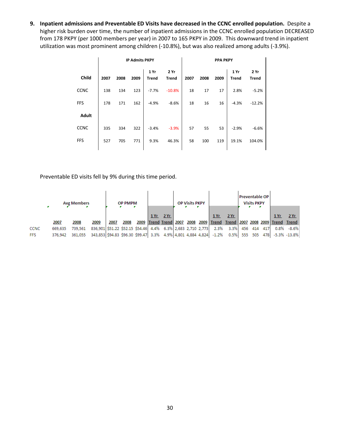**9. Inpatient admissions and Preventable ED Visits have decreased in the CCNC enrolled population.** Despite a higher risk burden over time, the number of inpatient admissions in the CCNC enrolled population DECREASED from 178 PKPY (per 1000 members per year) in 2007 to 165 PKPY in 2009. This downward trend in inpatient utilization was most prominent among children (-10.8%), but was also realized among adults (-3.9%).

|              |      |      | <b>IP Admits PKPY</b> |                      |                      | <b>PPA PKPY</b> |      |      |                      |                      |  |  |
|--------------|------|------|-----------------------|----------------------|----------------------|-----------------|------|------|----------------------|----------------------|--|--|
| Child        | 2007 | 2008 | 2009                  | 1 Yr<br><b>Trend</b> | 2 Yr<br><b>Trend</b> | 2007            | 2008 | 2009 | 1 Yr<br><b>Trend</b> | 2 Yr<br><b>Trend</b> |  |  |
| <b>CCNC</b>  | 138  | 134  | 123                   | $-7.7%$              | $-10.8%$             | 18              | 17   | 17   | 2.8%                 | $-5.2%$              |  |  |
| FFS          | 178  | 171  | 162                   | $-4.9%$              | $-8.6%$              | 18              | 16   | 16   | $-4.3%$              | $-12.2%$             |  |  |
| <b>Adult</b> |      |      |                       |                      |                      |                 |      |      |                      |                      |  |  |
| <b>CCNC</b>  | 335  | 334  | 322                   | $-3.4%$              | $-3.9%$              | 57              | 55   | 53   | $-2.9%$              | $-6.6%$              |  |  |
| FFS          | 527  | 705  | 771                   | 9.3%                 | 46.3%                | 58              | 100  | 119  | 19.1%                | 104.0%               |  |  |

Preventable ED visits fell by 9% during this time period.

|            | <b>Avg Members</b> |         |                                                                                | <b>OP PMPM</b> |      |     | <b>OP Visits PKPY</b> |  |                                                                  | <b>Preventable OP</b> | <b>Visits PKPY</b> |         |     |      |                 |  |
|------------|--------------------|---------|--------------------------------------------------------------------------------|----------------|------|-----|-----------------------|--|------------------------------------------------------------------|-----------------------|--------------------|---------|-----|------|-----------------|--|
|            |                    |         |                                                                                |                |      | 1Yr | 2Yr                   |  | 1 Yr                                                             | 2Yr                   |                    |         |     | 1 Yr | 2Yr             |  |
|            | 2007               | 2008    | 2009                                                                           | 2007           | 2008 |     |                       |  | 2009 Trend Trend 2007 2008 2009 Trend Trend 2007 2008 2009 Trend |                       |                    |         |     |      | Trend           |  |
| CCNC       | 669.635            | 739.561 | 836,901 \$51.22 \$52.15 \$54.46 4.4% 6.3% 2,683 2,710 2,773                    |                |      |     |                       |  |                                                                  | 2.3% 3.3%             |                    | 456 414 | 417 |      | $0.8\% - 8.6\%$ |  |
| <b>FFS</b> | 376,942            | 361,055 | 343,853 \$94.83 \$96.30 \$99.47 3.3% 4.9% 4,801 4,884 4,824 -1.2% 0.5% 555 505 |                |      |     |                       |  |                                                                  |                       |                    |         | 478 |      | -5.3% -13.8%    |  |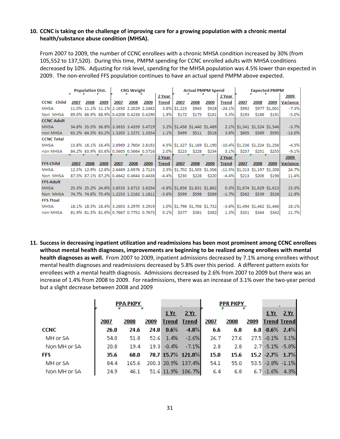#### **10. CCNC is taking on the challenge of improving care for a growing population with a chronic mental health/substance abuse condition (MHSA).**

From 2007 to 2009, the number of CCNC enrollees with a chronic MHSA condition increased by 30% (from 105,552 to 137,520). During this time, PMPM spending for CCNC enrolled adults with MHSA conditions decreased by 10%. Adjusting for risk level, spending for the MHSA population was 4.5% lower than expected in 2009. The non-enrolled FFS population continues to have an actual spend PMPM above expected.

|                   | <b>Population Dist.</b> |      |      | <b>CRG Weight</b>                      |      |      | <b>Actual PMPM Spend</b> |                                  |              |                         | <b>Expected PMPM</b> |                                   |                         |               |          |
|-------------------|-------------------------|------|------|----------------------------------------|------|------|--------------------------|----------------------------------|--------------|-------------------------|----------------------|-----------------------------------|-------------------------|---------------|----------|
|                   |                         |      |      |                                        |      |      | 2 Year                   |                                  |              |                         | 2 Year               |                                   |                         |               | 2009     |
| <b>CCNC</b> Child | 2007                    | 2008 | 2009 | 2007                                   | 2008 | 2009 | <b>Trend</b>             | 2007                             | 2008         | 2009                    | <b>Trend</b>         | 2007                              | 2008                    | 2009          | Variance |
| <b>MHSA</b>       |                         |      |      | 11.0% 11.1% 11.1% 2.1650 2.2029 2.2482 |      |      | 3.8%                     | \$1,223                          | <b>\$945</b> | \$928                   | $-24.1%$             | \$992                             |                         | \$977 \$1,001 | $-7.3%$  |
| Non MHSA          |                         |      |      | 89.0% 88.9% 88.9% 0.4208 0.4238 0.4290 |      |      | 1.9%                     | \$172                            | \$175        | \$181                   | 5.3%                 | \$193                             | \$188                   | \$191         | $-5.0%$  |
| <b>CCNC Adult</b> |                         |      |      |                                        |      |      |                          |                                  |              |                         |                      |                                   |                         |               |          |
| <b>MHSA</b>       |                         |      |      | 34.8% 35.5% 36.8% 3.3635 3.4359 3.4719 |      |      |                          | 3.2% \$1,458 \$1,440 \$1,489     |              |                         |                      | 2.1% \$1,541 \$1,524 \$1,546      |                         |               | $-3.7%$  |
| non MHSA          |                         |      |      | 65.2% 64.5% 63.2% 1.3205 1.3271 1.3354 |      |      | 1.1%                     | \$499                            | \$511        | \$518                   | 3.8%                 | \$605                             | \$589                   | \$595         | $-13.0%$ |
| <b>CCNC Total</b> |                         |      |      |                                        |      |      |                          |                                  |              |                         |                      |                                   |                         |               |          |
| <b>MHSA</b>       |                         |      |      | 15.8% 16.1% 16.4% 2.6969 2.7604 2.8192 |      |      |                          | 4.5% \$1,327 \$1,169 \$1,190     |              |                         |                      | $-10.4\%$ \$1,236 \$1,224 \$1,256 |                         |               | $-4.5%$  |
| non MHSA          |                         |      |      | 84.2% 83.9% 83.6% 0.5605 0.5664 0.5716 |      |      | 2.0%                     | \$223                            | \$228        | \$234                   | 5.1%                 | <b>\$257</b>                      |                         | \$251 \$255   | $-9.1%$  |
|                   |                         |      |      |                                        |      |      | 2 Year                   |                                  |              |                         | 2 Year               |                                   |                         |               | 2009     |
| <b>FFS Child</b>  | 2007                    | 2008 | 2009 | 2007                                   | 2008 | 2009 | <b>Trend</b>             | 2007                             | 2008         | 2009                    | <b>Trend</b>         | 2007                              | 2008                    | 2009          | Variance |
| <b>MHSA</b>       |                         |      |      | 12.5% 12.9% 12.8% 2.6469 2.6976 2.7123 |      |      | 2.5%                     |                                  |              | \$1,702 \$1,505 \$1,506 | $-11.5%$             |                                   | \$1,213 \$1,197 \$1,208 |               | 24.7%    |
| Non MHSA          |                         |      |      | 87.5% 87.1% 87.2% 0.4642 0.4644 0.4438 |      |      | $-4.4%$                  | \$230                            | \$228        | \$220                   | $-4.4%$              | \$213                             | \$206                   | \$198         | 11.4%    |
| <b>FFS Adult</b>  |                         |      |      |                                        |      |      |                          |                                  |              |                         |                      |                                   |                         |               |          |
| <b>MHSA</b>       |                         |      |      | 25.3% 25.2% 24.6% 3.6533 3.6715 3.6254 |      |      |                          | $-0.8\%$ \$1,856 \$1,831 \$1,862 |              |                         |                      | $0.3\%$ \$1,674 \$1,629 \$1,615   |                         |               | 15.3%    |
| Non MHSA          |                         |      |      | 74.7% 74.8% 75.4% 1.2253 1.2162 1.1811 |      |      | $-3.6%$                  | \$599                            | \$598        | \$589                   | $-1.7%$              | \$562                             | \$539                   | \$526         | 11.9%    |
| <b>FFS Ttoal</b>  |                         |      |      |                                        |      |      |                          |                                  |              |                         |                      |                                   |                         |               |          |
| <b>MHSA</b>       |                         |      |      | 18.1% 18.5% 18.4% 3.2603 3.2970 3.2919 |      |      |                          | 1.0% \$1,796 \$1,706 \$1,732     |              |                         |                      | $-3.6\%$ \$1,494 \$1,462 \$1,466  |                         |               | 18.1%    |
| non MHSA          |                         |      |      | 81.9% 81.5% 81.6% 0.7667 0.7752 0.7673 |      |      | 0.1%                     | \$377                            | \$381        | \$382                   | 1.3%                 | \$351                             | S344                    | \$342         | 11.7%    |

**11. Success in decreasing inpatient utilization and readmissions has been most prominent among CCNC enrollees without mental health diagnoses, improvements are beginning to be realized among enrollees with mental health diagnoses as well.** From 2007 to 2009, inpatient admissions decreased by 7.1% among enrollees without mental health diagnoses and readmissions decreased by 5.8% over this period. A different pattern exists for enrollees with a mental health diagnosis. Admissions decreased by 2.6% from 2007 to 2009 but there was an increase of 1.4% from 2008 to 2009. For readmissions, there was an increase of 3.1% over the two-year period but a slight decrease between 2008 and 2009

|              |      | <b>PPA PKPY</b> |      |                    |                    |      | <b>PPR PKPY</b> |      |                    |     |
|--------------|------|-----------------|------|--------------------|--------------------|------|-----------------|------|--------------------|-----|
|              |      |                 |      | 1Yr                | 2Yr                |      |                 |      | $1$ Y <sub>L</sub> | 2Yr |
|              | 2007 | 2008            | 2009 | <b>Trend Trend</b> |                    | 2007 | 2008            | 2009 | <b>Trend Trend</b> |     |
| <b>CCNC</b>  | 26.0 | 24.6            | 24.8 | $0.6\%$            | $-4.8%$            | 6.6  | 6.8             |      | $6.8 - 0.6\%$ 2.4% |     |
| MH or SA     | 54.0 | 51.8            |      | 52.6 1.4%          | $-2.6\%$           | 26.7 | 27.6            |      | 27.5 - 0.1% 3.1%   |     |
| Non MH or SA | 20.8 | 19.4            |      | $19.3 - 0.4\%$     | $-7.1\%$           | 2.8  | 2.8             |      | 2.7 -5.1% -5.8%    |     |
| <b>FFS</b>   | 35.6 | 68.0            |      |                    | 78.7 15.7% 121.0%  | 15.0 | 15.6            |      | 15.2 -2.7% 1.7%    |     |
| MH or SA     | 84.4 | 165.6           |      |                    | 200.3 20.9% 137.4% | 54.1 | 55.0            |      | 53.5 - 2.8% - 1.1% |     |
| Non MH or SA | 24.9 | 46.1            |      |                    | 51.6 11.9% 106.7%  | 6.4  | 6.8             |      | $6.7 - 1.6\%$ 4.3% |     |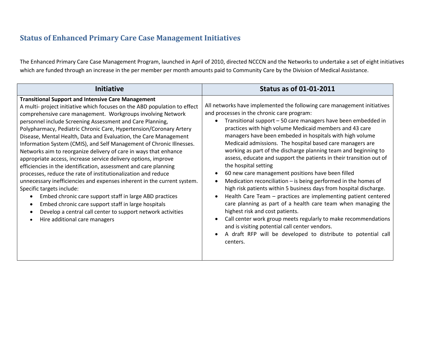# **Status of Enhanced Primary Care Case Management Initiatives**

The Enhanced Primary Care Case Management Program, launched in April of 2010, directed NCCCN and the Networks to undertake a set of eight initiatives which are funded through an increase in the per member per month amounts paid to Community Care by the Division of Medical Assistance.

<span id="page-33-0"></span>

| <b>Initiative</b>                                                                                                                                                                                                                                                                                                                                                                                                                                                                                                                                                                                                                                                                                                                                                                                                                                                                                                                                                                                                                                                                         | <b>Status as of 01-01-2011</b>                                                                                                                                                                                                                                                                                                                                                                                                                                                                                                                                                                                                                                                                                                                                                                                                                                                                                                                                                                                                                                                                                                                                         |
|-------------------------------------------------------------------------------------------------------------------------------------------------------------------------------------------------------------------------------------------------------------------------------------------------------------------------------------------------------------------------------------------------------------------------------------------------------------------------------------------------------------------------------------------------------------------------------------------------------------------------------------------------------------------------------------------------------------------------------------------------------------------------------------------------------------------------------------------------------------------------------------------------------------------------------------------------------------------------------------------------------------------------------------------------------------------------------------------|------------------------------------------------------------------------------------------------------------------------------------------------------------------------------------------------------------------------------------------------------------------------------------------------------------------------------------------------------------------------------------------------------------------------------------------------------------------------------------------------------------------------------------------------------------------------------------------------------------------------------------------------------------------------------------------------------------------------------------------------------------------------------------------------------------------------------------------------------------------------------------------------------------------------------------------------------------------------------------------------------------------------------------------------------------------------------------------------------------------------------------------------------------------------|
| <b>Transitional Support and Intensive Care Management</b><br>A multi- project initiative which focuses on the ABD population to effect<br>comprehensive care management. Workgroups involving Network<br>personnel include Screening Assessment and Care Planning,<br>Polypharmacy, Pediatric Chronic Care, Hypertension/Coronary Artery<br>Disease, Mental Health, Data and Evaluation, the Care Management<br>Information System (CMIS), and Self Management of Chronic Illnesses.<br>Networks aim to reorganize delivery of care in ways that enhance<br>appropriate access, increase service delivery options, improve<br>efficiencies in the identification, assessment and care planning<br>processes, reduce the rate of institutionalization and reduce<br>unnecessary inefficiencies and expenses inherent in the current system.<br>Specific targets include:<br>Embed chronic care support staff in large ABD practices<br>Embed chronic care support staff in large hospitals<br>Develop a central call center to support network activities<br>Hire additional care managers | All networks have implemented the following care management initiatives<br>and processes in the chronic care program:<br>Transitional support - 50 care managers have been embedded in<br>practices with high volume Medicaid members and 43 care<br>managers have been embeded in hospitals with high volume<br>Medicaid admissions. The hospital based care managers are<br>working as part of the discharge planning team and beginning to<br>assess, educate and support the patients in their transition out of<br>the hospital setting<br>60 new care management positions have been filled<br>$\bullet$<br>Medication reconciliation $-$ is being performed in the homes of<br>$\bullet$<br>high risk patients within 5 business days from hospital discharge.<br>Health Care Team - practices are implementing patient centered<br>$\bullet$<br>care planning as part of a health care team when managing the<br>highest risk and cost patients.<br>Call center work group meets regularly to make recommendations<br>and is visiting potential call center vendors.<br>A draft RFP will be developed to distribute to potential call<br>$\bullet$<br>centers. |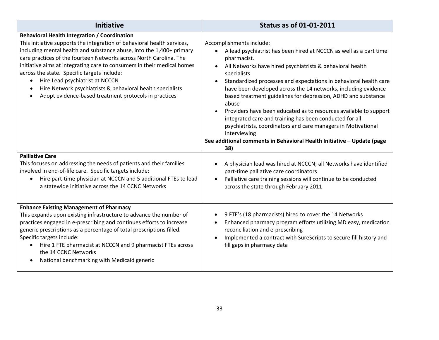| <b>Initiative</b>                                                                                                                                                                                                                                                                                                                                                                                                                                                                                                                                                | <b>Status as of 01-01-2011</b>                                                                                                                                                                                                                                                                                                                                                                                                                                                                                                                                                                                                                                                                                                         |
|------------------------------------------------------------------------------------------------------------------------------------------------------------------------------------------------------------------------------------------------------------------------------------------------------------------------------------------------------------------------------------------------------------------------------------------------------------------------------------------------------------------------------------------------------------------|----------------------------------------------------------------------------------------------------------------------------------------------------------------------------------------------------------------------------------------------------------------------------------------------------------------------------------------------------------------------------------------------------------------------------------------------------------------------------------------------------------------------------------------------------------------------------------------------------------------------------------------------------------------------------------------------------------------------------------------|
| <b>Behavioral Health Integration / Coordination</b><br>This initiative supports the integration of behavioral health services,<br>including mental health and substance abuse, into the 1,400+ primary<br>care practices of the fourteen Networks across North Carolina. The<br>initiative aims at integrating care to consumers in their medical homes<br>across the state. Specific targets include:<br>Hire Lead psychiatrist at NCCCN<br>Hire Network psychiatrists & behavioral health specialists<br>Adopt evidence-based treatment protocols in practices | Accomplishments include:<br>A lead psychiatrist has been hired at NCCCN as well as a part time<br>$\bullet$<br>pharmacist.<br>All Networks have hired psychiatrists & behavioral health<br>specialists<br>Standardized processes and expectations in behavioral health care<br>$\bullet$<br>have been developed across the 14 networks, including evidence<br>based treatment guidelines for depression, ADHD and substance<br>abuse<br>Providers have been educated as to resources available to support<br>integrated care and training has been conducted for all<br>psychiatrists, coordinators and care managers in Motivational<br>Interviewing<br>See additional comments in Behavioral Health Initiative - Update (page<br>38) |
| <b>Palliative Care</b>                                                                                                                                                                                                                                                                                                                                                                                                                                                                                                                                           | A physician lead was hired at NCCCN; all Networks have identified                                                                                                                                                                                                                                                                                                                                                                                                                                                                                                                                                                                                                                                                      |
| This focuses on addressing the needs of patients and their families                                                                                                                                                                                                                                                                                                                                                                                                                                                                                              | $\bullet$                                                                                                                                                                                                                                                                                                                                                                                                                                                                                                                                                                                                                                                                                                                              |
| involved in end-of-life care. Specific targets include:                                                                                                                                                                                                                                                                                                                                                                                                                                                                                                          | part-time palliative care coordinators                                                                                                                                                                                                                                                                                                                                                                                                                                                                                                                                                                                                                                                                                                 |
| Hire part-time physician at NCCCN and 5 additional FTEs to lead                                                                                                                                                                                                                                                                                                                                                                                                                                                                                                  | Palliative care training sessions will continue to be conducted                                                                                                                                                                                                                                                                                                                                                                                                                                                                                                                                                                                                                                                                        |
| a statewide initiative across the 14 CCNC Networks                                                                                                                                                                                                                                                                                                                                                                                                                                                                                                               | across the state through February 2011                                                                                                                                                                                                                                                                                                                                                                                                                                                                                                                                                                                                                                                                                                 |
| <b>Enhance Existing Management of Pharmacy</b>                                                                                                                                                                                                                                                                                                                                                                                                                                                                                                                   | 9 FTE's (18 pharmacists) hired to cover the 14 Networks                                                                                                                                                                                                                                                                                                                                                                                                                                                                                                                                                                                                                                                                                |
| This expands upon existing infrastructure to advance the number of                                                                                                                                                                                                                                                                                                                                                                                                                                                                                               | $\bullet$                                                                                                                                                                                                                                                                                                                                                                                                                                                                                                                                                                                                                                                                                                                              |
| practices engaged in e-prescribing and continues efforts to increase                                                                                                                                                                                                                                                                                                                                                                                                                                                                                             | Enhanced pharmacy program efforts utilizing MD easy, medication                                                                                                                                                                                                                                                                                                                                                                                                                                                                                                                                                                                                                                                                        |
| generic prescriptions as a percentage of total prescriptions filled.                                                                                                                                                                                                                                                                                                                                                                                                                                                                                             | $\bullet$                                                                                                                                                                                                                                                                                                                                                                                                                                                                                                                                                                                                                                                                                                                              |
| Specific targets include:                                                                                                                                                                                                                                                                                                                                                                                                                                                                                                                                        | reconciliation and e-prescribing                                                                                                                                                                                                                                                                                                                                                                                                                                                                                                                                                                                                                                                                                                       |
| Hire 1 FTE pharmacist at NCCCN and 9 pharmacist FTEs across                                                                                                                                                                                                                                                                                                                                                                                                                                                                                                      | Implemented a contract with SureScripts to secure fill history and                                                                                                                                                                                                                                                                                                                                                                                                                                                                                                                                                                                                                                                                     |
| the 14 CCNC Networks                                                                                                                                                                                                                                                                                                                                                                                                                                                                                                                                             | $\bullet$                                                                                                                                                                                                                                                                                                                                                                                                                                                                                                                                                                                                                                                                                                                              |
| National benchmarking with Medicaid generic                                                                                                                                                                                                                                                                                                                                                                                                                                                                                                                      | fill gaps in pharmacy data                                                                                                                                                                                                                                                                                                                                                                                                                                                                                                                                                                                                                                                                                                             |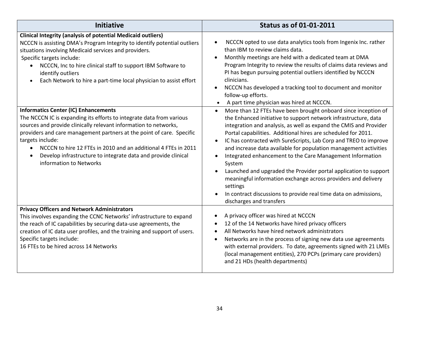| <b>Initiative</b>                                                                                                                                                                                                                                                                                                                                                                                                                                               | <b>Status as of 01-01-2011</b>                                                                                                                                                                                                                                                                                                                                                                                                                                                                                                                                                                                                                                                                                                                                                 |
|-----------------------------------------------------------------------------------------------------------------------------------------------------------------------------------------------------------------------------------------------------------------------------------------------------------------------------------------------------------------------------------------------------------------------------------------------------------------|--------------------------------------------------------------------------------------------------------------------------------------------------------------------------------------------------------------------------------------------------------------------------------------------------------------------------------------------------------------------------------------------------------------------------------------------------------------------------------------------------------------------------------------------------------------------------------------------------------------------------------------------------------------------------------------------------------------------------------------------------------------------------------|
| <b>Clinical Integrity (analysis of potential Medicaid outliers)</b><br>NCCCN is assisting DMA's Program Integrity to identify potential outliers<br>situations involving Medicaid services and providers.<br>Specific targets include:<br>NCCCN, Inc to hire clinical staff to support IBM Software to<br>$\bullet$<br>identify outliers<br>Each Network to hire a part-time local physician to assist effort                                                   | NCCCN opted to use data analytics tools from Ingenix Inc. rather<br>$\bullet$<br>than IBM to review claims data.<br>Monthly meetings are held with a dedicated team at DMA<br>$\bullet$<br>Program Integrity to review the results of claims data reviews and<br>PI has begun pursuing potential outliers identified by NCCCN<br>clinicians.<br>NCCCN has developed a tracking tool to document and monitor<br>$\bullet$<br>follow-up efforts.<br>A part time physician was hired at NCCCN.                                                                                                                                                                                                                                                                                    |
| <b>Informatics Center (IC) Enhancements</b><br>The NCCCN IC is expanding its efforts to integrate data from various<br>sources and provide clinically relevant information to networks,<br>providers and care management partners at the point of care. Specific<br>targets include:<br>NCCCN to hire 12 FTEs in 2010 and an additional 4 FTEs in 2011<br>$\bullet$<br>Develop infrastructure to integrate data and provide clinical<br>information to Networks | More than 12 FTEs have been brought onboard since inception of<br>$\bullet$<br>the Enhanced initiative to support network infrastructure, data<br>integration and analysis, as well as expand the CMIS and Provider<br>Portal capabilities. Additional hires are scheduled for 2011.<br>IC has contracted with SureScripts, Lab Corp and TREO to improve<br>and increase data available for population management activities<br>Integrated enhancement to the Care Management Information<br>$\bullet$<br>System<br>Launched and upgraded the Provider portal application to support<br>meaningful information exchange across providers and delivery<br>settings<br>In contract discussions to provide real time data on admissions,<br>$\bullet$<br>discharges and transfers |
| <b>Privacy Officers and Network Administrators</b><br>This involves expanding the CCNC Networks' infrastructure to expand<br>the reach of IC capabilities by securing data-use agreements, the<br>creation of IC data user profiles, and the training and support of users.<br>Specific targets include:<br>16 FTEs to be hired across 14 Networks                                                                                                              | A privacy officer was hired at NCCCN<br>$\bullet$<br>12 of the 14 Networks have hired privacy officers<br>$\bullet$<br>All Networks have hired network administrators<br>$\bullet$<br>Networks are in the process of signing new data use agreements<br>$\bullet$<br>with external providers. To date, agreements signed with 21 LMEs<br>(local management entities), 270 PCPs (primary care providers)<br>and 21 HDs (health departments)                                                                                                                                                                                                                                                                                                                                     |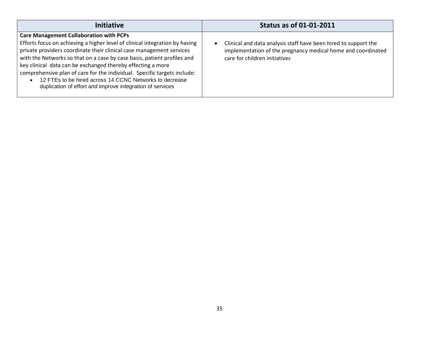| <b>Initiative</b>                                                                                                                                                                                                                                                                                                                                                                                                                                                                                                                                   | <b>Status as of 01-01-2011</b>                                                                                                                                                |
|-----------------------------------------------------------------------------------------------------------------------------------------------------------------------------------------------------------------------------------------------------------------------------------------------------------------------------------------------------------------------------------------------------------------------------------------------------------------------------------------------------------------------------------------------------|-------------------------------------------------------------------------------------------------------------------------------------------------------------------------------|
| <b>Care Management Collaboration with PCPs</b><br>Efforts focus on achieving a higher level of clinical integration by having<br>private providers coordinate their clinical case management services<br>with the Networks so that on a case by case basis, patient profiles and<br>key clinical data can be exchanged thereby effecting a more<br>comprehensive plan of care for the individual. Specific targets include:<br>12 FTEs to be hired across 14 CCNC Networks to decrease<br>duplication of effort and improve integration of services | Clinical and data analysis staff have been hired to support the<br>$\bullet$<br>implementation of the pregnancy medical home and coordinated<br>care for children initiatives |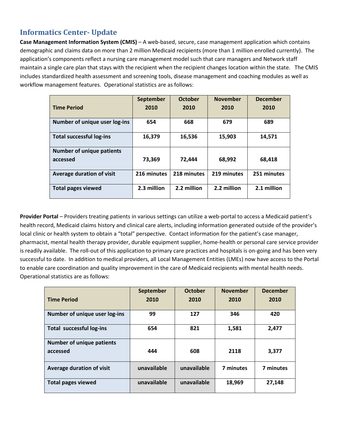# <span id="page-37-0"></span>**Informatics Center- Update**

**Case Management Information System (CMIS)** – A web-based, secure, case management application which contains demographic and claims data on more than 2 million Medicaid recipients (more than 1 million enrolled currently). The application's components reflect a nursing care management model such that care managers and Network staff maintain a single care plan that stays with the recipient when the recipient changes location within the state. The CMIS includes standardized health assessment and screening tools, disease management and coaching modules as well as workflow management features. Operational statistics are as follows:

|                                  | <b>September</b> | <b>October</b> | <b>November</b> | <b>December</b> |
|----------------------------------|------------------|----------------|-----------------|-----------------|
| <b>Time Period</b>               | 2010             | 2010           | 2010            | 2010            |
| Number of unique user log-ins    | 654              | 668            | 679             | 689             |
| <b>Total successful log-ins</b>  | 16,379           | 16,536         | 15,903          | 14,571          |
| <b>Number of unique patients</b> |                  |                |                 |                 |
| accessed                         | 73,369           | 72,444         | 68,992          | 68,418          |
| <b>Average duration of visit</b> | 216 minutes      | 218 minutes    | 219 minutes     | 251 minutes     |
| <b>Total pages viewed</b>        | 2.3 million      | 2.2 million    | 2.2 million     | 2.1 million     |

**Provider Portal** – Providers treating patients in various settings can utilize a web-portal to access a Medicaid patient's health record, Medicaid claims history and clinical care alerts, including information generated outside of the provider's local clinic or health system to obtain a "total" perspective. Contact information for the patient's case manager, pharmacist, mental health therapy provider, durable equipment supplier, home-health or personal care service provider is readily available. The roll-out of this application to primary care practices and hospitals is on-going and has been very successful to date. In addition to medical providers, all Local Management Entities (LMEs) now have access to the Portal to enable care coordination and quality improvement in the care of Medicaid recipients with mental health needs. Operational statistics are as follows:

|                                              | September   | <b>October</b> | <b>November</b> | <b>December</b> |
|----------------------------------------------|-------------|----------------|-----------------|-----------------|
| <b>Time Period</b>                           | 2010        | 2010           | 2010            | 2010            |
| Number of unique user log-ins                | 99          | 127            | 346             | 420             |
| <b>Total successful log-ins</b>              | 654         | 821            | 1,581           | 2,477           |
| <b>Number of unique patients</b><br>accessed | 444         | 608            | 2118            | 3,377           |
| Average duration of visit                    | unavailable | unavailable    | 7 minutes       | 7 minutes       |
| <b>Total pages viewed</b>                    | unavailable | unavailable    | 18,969          | 27,148          |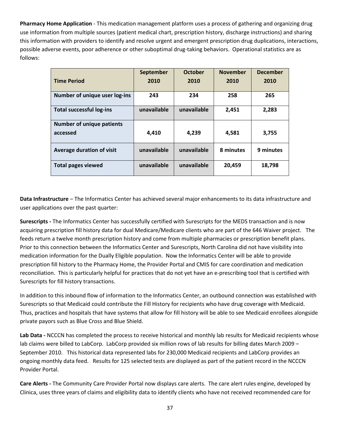**Pharmacy Home Application** - This medication management platform uses a process of gathering and organizing drug use information from multiple sources (patient medical chart, prescription history, discharge instructions) and sharing this information with providers to identify and resolve urgent and emergent prescription drug duplications, interactions, possible adverse events, poor adherence or other suboptimal drug-taking behaviors. Operational statistics are as follows:

|                                  | September   | <b>October</b> | <b>November</b> | <b>December</b> |
|----------------------------------|-------------|----------------|-----------------|-----------------|
| <b>Time Period</b>               | 2010        | 2010           | 2010            | 2010            |
| Number of unique user log-ins    | 243         | 234            | 258             | 265             |
| <b>Total successful log-ins</b>  | unavailable | unavailable    | 2,451           | 2,283           |
| <b>Number of unique patients</b> |             |                |                 |                 |
| accessed                         | 4,410       | 4.239          | 4.581           | 3,755           |
| <b>Average duration of visit</b> | unavailable | unavailable    | 8 minutes       | 9 minutes       |
| <b>Total pages viewed</b>        | unavailable | unavailable    | 20,459          | 18,798          |

**Data Infrastructure** – The Informatics Center has achieved several major enhancements to its data infrastructure and user applications over the past quarter:

**Surescripts -** The Informatics Center has successfully certified with Surescripts for the MEDS transaction and is now acquiring prescription fill history data for dual Medicare/Medicare clients who are part of the 646 Waiver project. The feeds return a twelve month prescription history and come from multiple pharmacies or prescription benefit plans. Prior to this connection between the Informatics Center and Surescripts, North Carolina did not have visibility into medication information for the Dually Eligible population. Now the Informatics Center will be able to provide prescription fill history to the Pharmacy Home, the Provider Portal and CMIS for care coordination and medication reconciliation. This is particularly helpful for practices that do not yet have an e-prescribing tool that is certified with Surescripts for fill history transactions.

In addition to this inbound flow of information to the Informatics Center, an outbound connection was established with Surescripts so that Medicaid could contribute the Fill History for recipients who have drug coverage with Medicaid. Thus, practices and hospitals that have systems that allow for fill history will be able to see Medicaid enrollees alongside private payors such as Blue Cross and Blue Shield.

**Lab Data -** NCCCN has completed the process to receive historical and monthly lab results for Medicaid recipients whose lab claims were billed to LabCorp. LabCorp provided six million rows of lab results for billing dates March 2009 – September 2010. This historical data represented labs for 230,000 Medicaid recipients and LabCorp provides an ongoing monthly data feed. Results for 125 selected tests are displayed as part of the patient record in the NCCCN Provider Portal.

**Care Alerts -** The Community Care Provider Portal now displays care alerts. The care alert rules engine, developed by Clinica, uses three years of claims and eligibility data to identify clients who have not received recommended care for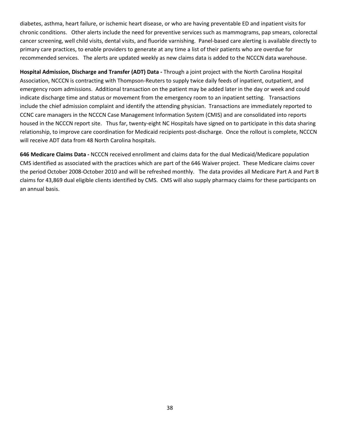diabetes, asthma, heart failure, or ischemic heart disease, or who are having preventable ED and inpatient visits for chronic conditions. Other alerts include the need for preventive services such as mammograms, pap smears, colorectal cancer screening, well child visits, dental visits, and fluoride varnishing. Panel-based care alerting is available directly to primary care practices, to enable providers to generate at any time a list of their patients who are overdue for recommended services. The alerts are updated weekly as new claims data is added to the NCCCN data warehouse.

**Hospital Admission, Discharge and Transfer (ADT) Data -** Through a joint project with the North Carolina Hospital Association, NCCCN is contracting with Thompson-Reuters to supply twice daily feeds of inpatient, outpatient, and emergency room admissions. Additional transaction on the patient may be added later in the day or week and could indicate discharge time and status or movement from the emergency room to an inpatient setting. Transactions include the chief admission complaint and identify the attending physician. Transactions are immediately reported to CCNC care managers in the NCCCN Case Management Information System (CMIS) and are consolidated into reports housed in the NCCCN report site. Thus far, twenty-eight NC Hospitals have signed on to participate in this data sharing relationship, to improve care coordination for Medicaid recipients post-discharge. Once the rollout is complete, NCCCN will receive ADT data from 48 North Carolina hospitals.

**646 Medicare Claims Data -** NCCCN received enrollment and claims data for the dual Medicaid/Medicare population CMS identified as associated with the practices which are part of the 646 Waiver project. These Medicare claims cover the period October 2008-October 2010 and will be refreshed monthly. The data provides all Medicare Part A and Part B claims for 43,869 dual eligible clients identified by CMS. CMS will also supply pharmacy claims for these participants on an annual basis.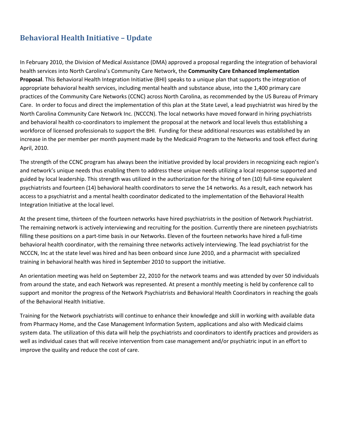# <span id="page-40-0"></span>**Behavioral Health Initiative – Update**

In February 2010, the Division of Medical Assistance (DMA) approved a proposal regarding the integration of behavioral health services into North Carolina's Community Care Network, the **Community Care Enhanced Implementation Proposal**. This Behavioral Health Integration Initiative (BHI) speaks to a unique plan that supports the integration of appropriate behavioral health services, including mental health and substance abuse, into the 1,400 primary care practices of the Community Care Networks (CCNC) across North Carolina, as recommended by the US Bureau of Primary Care. In order to focus and direct the implementation of this plan at the State Level, a lead psychiatrist was hired by the North Carolina Community Care Network Inc. (NCCCN). The local networks have moved forward in hiring psychiatrists and behavioral health co-coordinators to implement the proposal at the network and local levels thus establishing a workforce of licensed professionals to support the BHI. Funding for these additional resources was established by an increase in the per member per month payment made by the Medicaid Program to the Networks and took effect during April, 2010.

The strength of the CCNC program has always been the initiative provided by local providers in recognizing each region's and network's unique needs thus enabling them to address these unique needs utilizing a local response supported and guided by local leadership. This strength was utilized in the authorization for the hiring of ten (10) full-time equivalent psychiatrists and fourteen (14) behavioral health coordinators to serve the 14 networks. As a result, each network has access to a psychiatrist and a mental health coordinator dedicated to the implementation of the Behavioral Health Integration Initiative at the local level.

At the present time, thirteen of the fourteen networks have hired psychiatrists in the position of Network Psychiatrist. The remaining network is actively interviewing and recruiting for the position. Currently there are nineteen psychiatrists filling these positions on a part-time basis in our Networks. Eleven of the fourteen networks have hired a full-time behavioral health coordinator, with the remaining three networks actively interviewing. The lead psychiatrist for the NCCCN, Inc at the state level was hired and has been onboard since June 2010, and a pharmacist with specialized training in behavioral health was hired in September 2010 to support the initiative.

An orientation meeting was held on September 22, 2010 for the network teams and was attended by over 50 individuals from around the state, and each Network was represented. At present a monthly meeting is held by conference call to support and monitor the progress of the Network Psychiatrists and Behavioral Health Coordinators in reaching the goals of the Behavioral Health Initiative.

Training for the Network psychiatrists will continue to enhance their knowledge and skill in working with available data from Pharmacy Home, and the Case Management Information System, applications and also with Medicaid claims system data. The utilization of this data will help the psychiatrists and coordinators to identify practices and providers as well as individual cases that will receive intervention from case management and/or psychiatric input in an effort to improve the quality and reduce the cost of care.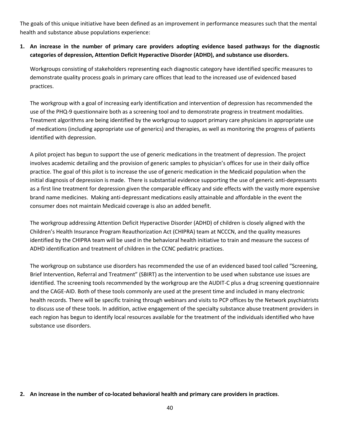The goals of this unique initiative have been defined as an improvement in performance measures such that the mental health and substance abuse populations experience:

#### **1. An increase in the number of primary care providers adopting evidence based pathways for the diagnostic categories of depression, Attention Deficit Hyperactive Disorder (ADHD), and substance use disorders.**

Workgroups consisting of stakeholders representing each diagnostic category have identified specific measures to demonstrate quality process goals in primary care offices that lead to the increased use of evidenced based practices.

The workgroup with a goal of increasing early identification and intervention of depression has recommended the use of the PHQ-9 questionnaire both as a screening tool and to demonstrate progress in treatment modalities. Treatment algorithms are being identified by the workgroup to support primary care physicians in appropriate use of medications (including appropriate use of generics) and therapies, as well as monitoring the progress of patients identified with depression.

A pilot project has begun to support the use of generic medications in the treatment of depression. The project involves academic detailing and the provision of generic samples to physician's offices for use in their daily office practice. The goal of this pilot is to increase the use of generic medication in the Medicaid population when the initial diagnosis of depression is made. There is substantial evidence supporting the use of generic anti-depressants as a first line treatment for depression given the comparable efficacy and side effects with the vastly more expensive brand name medicines. Making anti-depressant medications easily attainable and affordable in the event the consumer does not maintain Medicaid coverage is also an added benefit.

The workgroup addressing Attention Deficit Hyperactive Disorder (ADHD) of children is closely aligned with the Children's Health Insurance Program Reauthorization Act (CHIPRA) team at NCCCN, and the quality measures identified by the CHIPRA team will be used in the behavioral health initiative to train and measure the success of ADHD identification and treatment of children in the CCNC pediatric practices.

The workgroup on substance use disorders has recommended the use of an evidenced based tool called "Screening, Brief Intervention, Referral and Treatment" (SBIRT) as the intervention to be used when substance use issues are identified. The screening tools recommended by the workgroup are the AUDIT-C plus a drug screening questionnaire and the CAGE-AID. Both of these tools commonly are used at the present time and included in many electronic health records. There will be specific training through webinars and visits to PCP offices by the Network psychiatrists to discuss use of these tools. In addition, active engagement of the specialty substance abuse treatment providers in each region has begun to identify local resources available for the treatment of the individuals identified who have substance use disorders.

#### **2. An increase in the number of co-located behavioral health and primary care providers in practices**.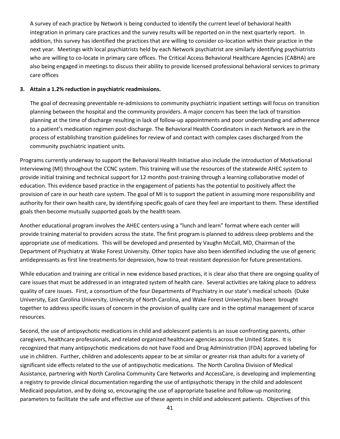A survey of each practice by Network is being conducted to identify the current level of behavioral health integration in primary care practices and the survey results will be reported on in the next quarterly report. In addition, this survey has identified the practices that are willing to consider co-location within their practice in the next year. Meetings with local psychiatrists held by each Network psychiatrist are similarly identifying psychiatrists who are willing to co-locate in primary care offices. The Critical Access Behavioral Healthcare Agencies (CABHA) are also being engaged in meetings to discuss their ability to provide licensed professional behavioral services to primary care offices

#### **3. Attain a 1.2% reduction in psychiatric readmissions.**

The goal of decreasing preventable re-admissions to community psychiatric inpatient settings will focus on transition planning between the hospital and the community providers. A major concern has been the lack of transition planning at the time of discharge resulting in lack of follow-up appointments and poor understanding and adherence to a patient's medication regimen post-discharge. The Behavioral Health Coordinators in each Network are in the process of establishing transition guidelines for review of and contact with complex cases discharged from the community psychiatric inpatient units.

Programs currently underway to support the Behavioral Health Initiative also include the introduction of Motivational Interviewing (MI) throughout the CCNC system. This training will use the resources of the statewide AHEC system to provide initial training and technical support for 12 months post-training through a learning collaborative model of education. This evidence based practice in the engagement of patients has the potential to positively affect the provision of care in our heath care system. The goal of MI is to support the patient in assuming more responsibility and authority for their own health care, by identifying specific goals of care they feel are important to them. These identified goals then become mutually supported goals by the health team.

Another educational program involves the AHEC centers using a "lunch and learn" format where each center will provide training material to providers across the state. The first program is planned to address sleep problems and the appropriate use of medications. This will be developed and presented by Vaughn McCall, MD, Chairman of the Department of Psychiatry at Wake Forest University. Other topics have also been identified including the use of generic antidepressants as first line treatments for depression, how to treat resistant depression for future presentations.

While education and training are critical in new evidence based practices, it is clear also that there are ongoing quality of care issues that must be addressed in an integrated system of health care. Several activities are taking place to address quality of care issues. First, a consortium of the four Departments of Psychiatry in our state's medical schools (Duke University, East Carolina University, University of North Carolina, and Wake Forest University) has been brought together to address specific issues of concern in the provision of quality care and in the optimal management of scarce resources.

Second, the use of antipsychotic medications in child and adolescent patients is an issue confronting parents, other caregivers, healthcare professionals, and related organized healthcare agencies across the United States. It is recognized that many antipsychotic medications do not have Food and Drug Administration (FDA) approved labeling for use in children. Further, children and adolescents appear to be at similar or greater risk than adults for a variety of significant side effects related to the use of antipsychotic medications. The North Carolina Division of Medical Assistance, partnering with North Carolina Community Care Networks and AccessCare, is developing and implementing a registry to provide clinical documentation regarding the use of antipsychotic therapy in the child and adolescent Medicaid population, and by doing so, encouraging the use of appropriate baseline and follow-up monitoring parameters to facilitate the safe and effective use of these agents in child and adolescent patients. Objectives of this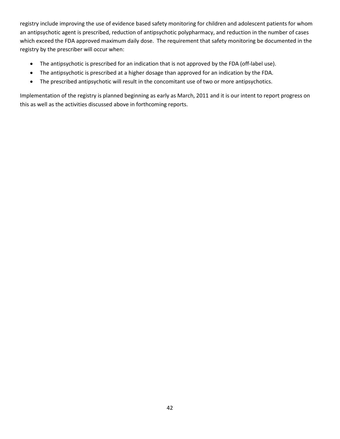registry include improving the use of evidence based safety monitoring for children and adolescent patients for whom an antipsychotic agent is prescribed, reduction of antipsychotic polypharmacy, and reduction in the number of cases which exceed the FDA approved maximum daily dose. The requirement that safety monitoring be documented in the registry by the prescriber will occur when:

- The antipsychotic is prescribed for an indication that is not approved by the FDA (off-label use).
- The antipsychotic is prescribed at a higher dosage than approved for an indication by the FDA.
- The prescribed antipsychotic will result in the concomitant use of two or more antipsychotics.

Implementation of the registry is planned beginning as early as March, 2011 and it is our intent to report progress on this as well as the activities discussed above in forthcoming reports.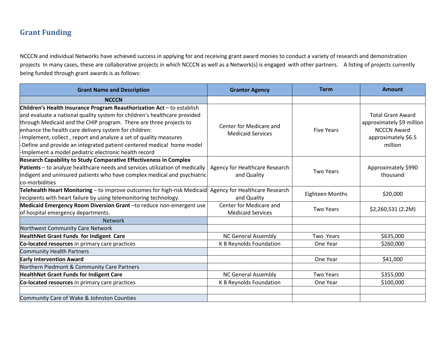# **Grant Funding**

NCCCN and individual Networks have achieved success in applying for and receiving grant award monies to conduct a variety of research and demonstration projects In many cases, these are collaborative projects in which NCCCN as well as a Network(s) is engaged with other partners. A listing of projects currently being funded through grant awards is as follows:

<span id="page-44-0"></span>

| <b>Grant Name and Description</b>                                                                                                                                                                                                                                                                                                                                                                                                                                                         | <b>Grantor Agency</b>                               | <b>Term</b>            | <b>Amount</b>                                                                                                 |
|-------------------------------------------------------------------------------------------------------------------------------------------------------------------------------------------------------------------------------------------------------------------------------------------------------------------------------------------------------------------------------------------------------------------------------------------------------------------------------------------|-----------------------------------------------------|------------------------|---------------------------------------------------------------------------------------------------------------|
| <b>NCCCN</b>                                                                                                                                                                                                                                                                                                                                                                                                                                                                              |                                                     |                        |                                                                                                               |
| Children's Health Insurance Program Reauthorization Act - to establish<br>and evaluate a national quality system for children's healthcare provided<br>through Medicaid and the CHIP program. There are three projects to<br>enhance the health care delivery system for children:<br>-Implement, collect, report and analyze a set of quality measures<br>-Define and provide an integrated patient-centered medical home model<br>-Implement a model pediatric electronic health record | Center for Medicare and<br><b>Medicaid Services</b> | <b>Five Years</b>      | <b>Total Grant Award</b><br>approximately \$9 million<br><b>NCCCN Award</b><br>approximately \$6.5<br>million |
| <b>Research Capability to Study Comparative Effectiveness in Complex</b><br>Patients - to analyze healthcare needs and services utilization of medically<br>indigent and uninsured patients who have complex medical and psychiatric<br>co-morbidities                                                                                                                                                                                                                                    | Agency for Healthcare Research<br>and Quality       | <b>Two Years</b>       | Approximately \$990<br>thousand                                                                               |
| Telehealth Heart Monitoring - to improve outcomes for high-risk Medicaid<br>recipients with heart failure by using telemonitoring technology.                                                                                                                                                                                                                                                                                                                                             | Agency for Healthcare Research<br>and Quality       | <b>Eighteen Months</b> | \$20,000                                                                                                      |
| Medicaid Emergency Room Diversion Grant -to reduce non-emergent use<br>of hospital emergency departments.                                                                                                                                                                                                                                                                                                                                                                                 | Center for Medicare and<br><b>Medicaid Services</b> | <b>Two Years</b>       | \$2,260,531 (2.2M)                                                                                            |
| <b>Network</b>                                                                                                                                                                                                                                                                                                                                                                                                                                                                            |                                                     |                        |                                                                                                               |
| Northwest Community Care Network                                                                                                                                                                                                                                                                                                                                                                                                                                                          |                                                     |                        |                                                                                                               |
| <b>HealthNet Grant Funds for Indigent Care</b>                                                                                                                                                                                                                                                                                                                                                                                                                                            | <b>NC General Assembly</b>                          | Two Years              | \$635,000                                                                                                     |
| Co-located resources in primary care practices                                                                                                                                                                                                                                                                                                                                                                                                                                            | K B Reynolds Foundation                             | One Year               | \$260,000                                                                                                     |
| Community Health Partners                                                                                                                                                                                                                                                                                                                                                                                                                                                                 |                                                     |                        |                                                                                                               |
| <b>Early Intervention Award</b>                                                                                                                                                                                                                                                                                                                                                                                                                                                           |                                                     | One Year               | \$41,000                                                                                                      |
| Northern Piedmont & Community Care Partners                                                                                                                                                                                                                                                                                                                                                                                                                                               |                                                     |                        |                                                                                                               |
| <b>HealthNet Grant Funds for Indigent Care</b>                                                                                                                                                                                                                                                                                                                                                                                                                                            | <b>NC General Assembly</b>                          | <b>Two Years</b>       | \$355,000                                                                                                     |
| Co-located resources in primary care practices                                                                                                                                                                                                                                                                                                                                                                                                                                            | K B Reynolds Foundation                             | One Year               | \$100,000                                                                                                     |
| Community Care of Wake & Johnston Counties                                                                                                                                                                                                                                                                                                                                                                                                                                                |                                                     |                        |                                                                                                               |